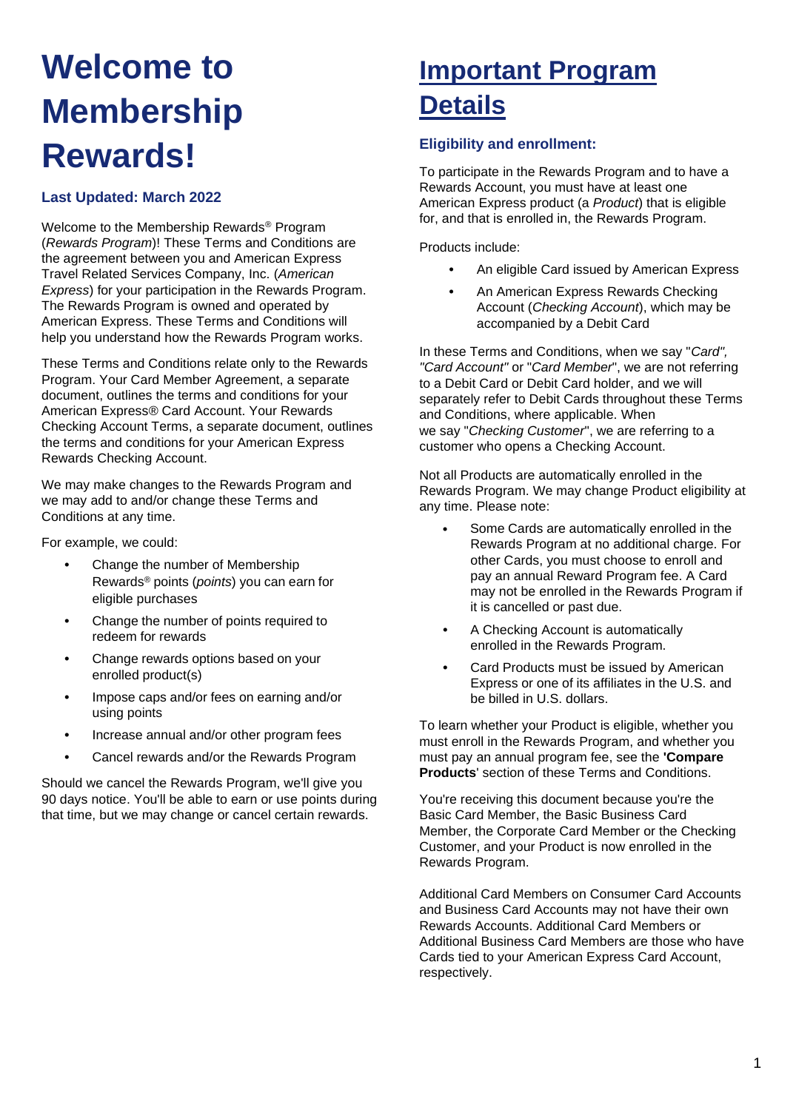# **Welcome to Membership Rewards!**

#### **Last Updated: March 2022**

Welcome to the Membership Rewards® Program (*Rewards Program*)! These Terms and Conditions are the agreement between you and American Express Travel Related Services Company, Inc. (*American Express*) for your participation in the Rewards Program. The Rewards Program is owned and operated by American Express. These Terms and Conditions will help you understand how the Rewards Program works.

These Terms and Conditions relate only to the Rewards Program. Your Card Member Agreement, a separate document, outlines the terms and conditions for your American Express® Card Account. Your Rewards Checking Account Terms, a separate document, outlines the terms and conditions for your American Express Rewards Checking Account.

We may make changes to the Rewards Program and we may add to and/or change these Terms and Conditions at any time.

For example, we could:

- Change the number of Membership Rewards® points (*points*) you can earn for eligible purchases
- Change the number of points required to redeem for rewards
- Change rewards options based on your enrolled product(s)
- Impose caps and/or fees on earning and/or using points
- Increase annual and/or other program fees
- Cancel rewards and/or the Rewards Program

Should we cancel the Rewards Program, we'll give you 90 days notice. You'll be able to earn or use points during that time, but we may change or cancel certain rewards.

## **Important Program Details**

#### **Eligibility and enrollment:**

To participate in the Rewards Program and to have a Rewards Account, you must have at least one American Express product (a *Product*) that is eligible for, and that is enrolled in, the Rewards Program.

Products include:

- An eligible Card issued by American Express
- An American Express Rewards Checking Account (*Checking Account*), which may be accompanied by a Debit Card

In these Terms and Conditions, when we say "*Card", "Card Account"* or "*Card Member*", we are not referring to a Debit Card or Debit Card holder, and we will separately refer to Debit Cards throughout these Terms and Conditions, where applicable. When we say "*Checking Customer*", we are referring to a customer who opens a Checking Account.

Not all Products are automatically enrolled in the Rewards Program. We may change Product eligibility at any time. Please note:

- Some Cards are automatically enrolled in the Rewards Program at no additional charge. For other Cards, you must choose to enroll and pay an annual Reward Program fee. A Card may not be enrolled in the Rewards Program if it is cancelled or past due.
- A Checking Account is automatically enrolled in the Rewards Program.
- Card Products must be issued by American Express or one of its affiliates in the U.S. and be billed in U.S. dollars.

To learn whether your Product is eligible, whether you must enroll in the Rewards Program, and whether you must pay an annual program fee, see the **'Compare Products**' section of these Terms and Conditions.

You're receiving this document because you're the Basic Card Member, the Basic Business Card Member, the Corporate Card Member or the Checking Customer, and your Product is now enrolled in the Rewards Program.

Additional Card Members on Consumer Card Accounts and Business Card Accounts may not have their own Rewards Accounts. Additional Card Members or Additional Business Card Members are those who have Cards tied to your American Express Card Account, respectively.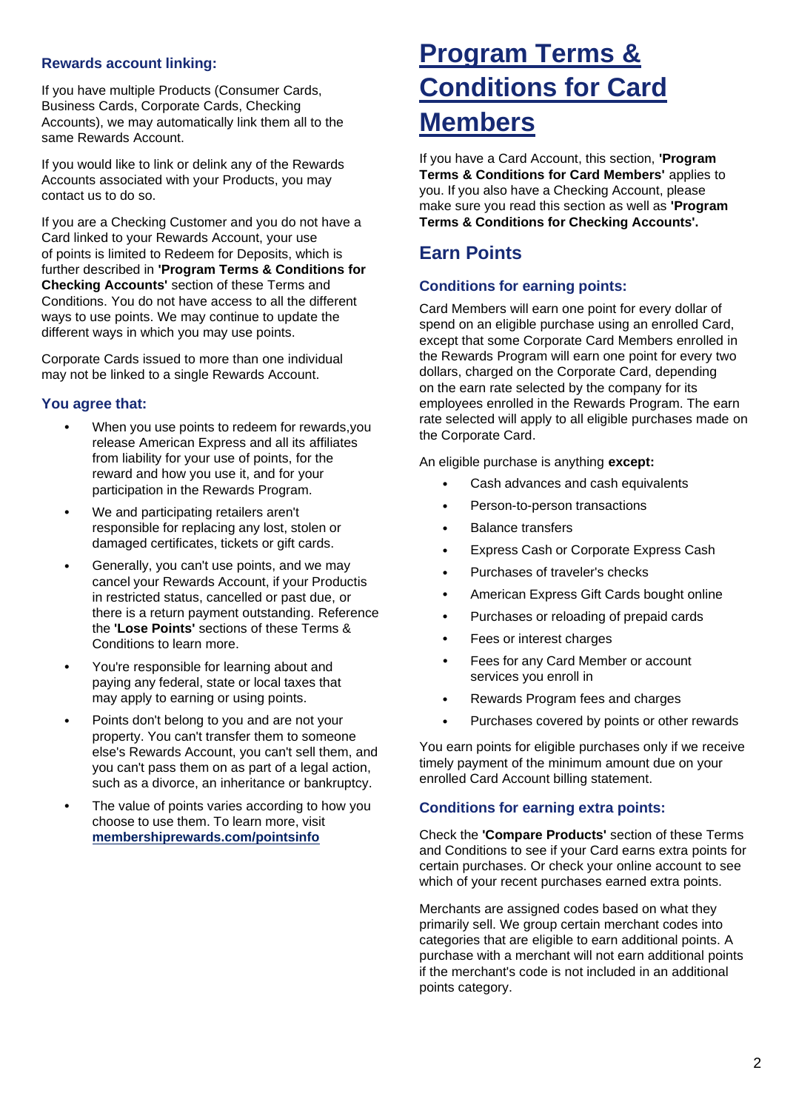#### **Rewards account linking:**

If you have multiple Products (Consumer Cards, Business Cards, Corporate Cards, Checking Accounts), we may automatically link them all to the same Rewards Account.

If you would like to link or delink any of the Rewards Accounts associated with your Products, you may contact us to do so.

If you are a Checking Customer and you do not have a Card linked to your Rewards Account, your use of points is limited to Redeem for Deposits, which is further described in **'Program Terms & Conditions for Checking Accounts'** section of these Terms and Conditions. You do not have access to all the different ways to use points. We may continue to update the different ways in which you may use points.

Corporate Cards issued to more than one individual may not be linked to a single Rewards Account.

#### **You agree that:**

- When you use points to redeem for rewards, you release American Express and all its affiliates from liability for your use of points, for the reward and how you use it, and for your participation in the Rewards Program.
- We and participating retailers aren't responsible for replacing any lost, stolen or damaged certificates, tickets or gift cards.
- Generally, you can't use points, and we may cancel your Rewards Account, if your Productis in restricted status, cancelled or past due, or there is a return payment outstanding. Reference the **'Lose Points'** sections of these Terms & Conditions to learn more.
- You're responsible for learning about and paying any federal, state or local taxes that may apply to earning or using points.
- Points don't belong to you and are not your property. You can't transfer them to someone else's Rewards Account, you can't sell them, and you can't pass them on as part of a legal action, such as a divorce, an inheritance or bankruptcy.
- The value of points varies according to how you choose to use them. To learn more, visit **[membershiprewards.com/pointsinfo](https://global.americanexpress.com/rewards/calculator)**

## **Program Terms & Conditions for Card Members**

If you have a Card Account, this section, **'Program Terms & Conditions for Card Members'** applies to you. If you also have a Checking Account, please make sure you read this section as well as **'Program Terms & Conditions for Checking Accounts'.**

### **Earn Points**

#### **Conditions for earning points:**

Card Members will earn one point for every dollar of spend on an eligible purchase using an enrolled Card, except that some Corporate Card Members enrolled in the Rewards Program will earn one point for every two dollars, charged on the Corporate Card, depending on the earn rate selected by the company for its employees enrolled in the Rewards Program. The earn rate selected will apply to all eligible purchases made on the Corporate Card.

An eligible purchase is anything **except:**

- Cash advances and cash equivalents
- Person-to-person transactions
- Balance transfers
- Express Cash or Corporate Express Cash
- Purchases of traveler's checks
- American Express Gift Cards bought online
- Purchases or reloading of prepaid cards
- Fees or interest charges
- Fees for any Card Member or account services you enroll in
- Rewards Program fees and charges
- Purchases covered by points or other rewards

You earn points for eligible purchases only if we receive timely payment of the minimum amount due on your enrolled Card Account billing statement.

#### **Conditions for earning extra points:**

Check the **'Compare Products'** section of these Terms and Conditions to see if your Card earns extra points for certain purchases. Or check your online account to see which of your recent purchases earned extra points.

Merchants are assigned codes based on what they primarily sell. We group certain merchant codes into categories that are eligible to earn additional points. A purchase with a merchant will not earn additional points if the merchant's code is not included in an additional points category.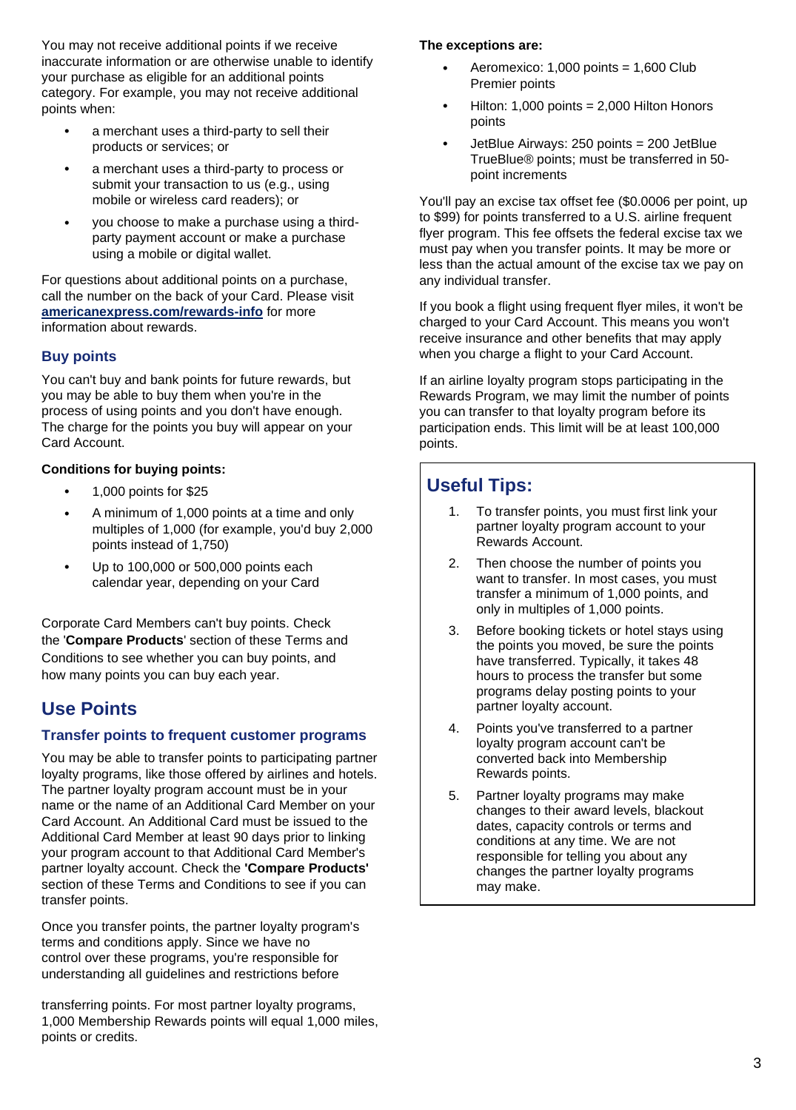You may not receive additional points if we receive inaccurate information or are otherwise unable to identify your purchase as eligible for an additional points category. For example, you may not receive additional points when:

- a merchant uses a third-party to sell their products or services; or
- a merchant uses a third-party to process or submit your transaction to us (e.g., using mobile or wireless card readers); or
- you choose to make a purchase using a thirdparty payment account or make a purchase using a mobile or digital wallet.

For questions about additional points on a purchase, call the number on the back of your Card. Please visit **[americanexpress.com/rewards-info](https://www.americanexpress.com/en-us/benefits/rewards/rewards-information/index.html)** for more information about rewards.

#### **Buy points**

You can't buy and bank points for future rewards, but you may be able to buy them when you're in the process of using points and you don't have enough. The charge for the points you buy will appear on your Card Account.

#### **Conditions for buying points:**

- 1,000 points for \$25
- A minimum of 1,000 points at a time and only multiples of 1,000 (for example, you'd buy 2,000 points instead of 1,750)
- Up to 100,000 or 500,000 points each calendar year, depending on your Card

Corporate Card Members can't buy points. Check the '**Compare Products**' section of these Terms and Conditions to see whether you can buy points, and how many points you can buy each year.

### **Use Points**

#### **Transfer points to frequent customer programs**

You may be able to transfer points to participating partner loyalty programs, like those offered by airlines and hotels. The partner loyalty program account must be in your name or the name of an Additional Card Member on your Card Account. An Additional Card must be issued to the Additional Card Member at least 90 days prior to linking your program account to that Additional Card Member's partner loyalty account. Check the **'Compare Products'** section of these Terms and Conditions to see if you can transfer points.

Once you transfer points, the partner loyalty program's terms and conditions apply. Since we have no control over these programs, you're responsible for understanding all guidelines and restrictions before

transferring points. For most partner loyalty programs, 1,000 Membership Rewards points will equal 1,000 miles, points or credits.

#### **The exceptions are:**

- Aeromexico:  $1,000$  points =  $1,600$  Club Premier points
- Hilton: 1,000 points =  $2,000$  Hilton Honors points
- JetBlue Airways: 250 points = 200 JetBlue TrueBlue® points; must be transferred in 50 point increments

You'll pay an excise tax offset fee (\$0.0006 per point, up to \$99) for points transferred to a U.S. airline frequent flyer program. This fee offsets the federal excise tax we must pay when you transfer points. It may be more or less than the actual amount of the excise tax we pay on any individual transfer.

If you book a flight using frequent flyer miles, it won't be charged to your Card Account. This means you won't receive insurance and other benefits that may apply when you charge a flight to your Card Account.

If an airline loyalty program stops participating in the Rewards Program, we may limit the number of points you can transfer to that loyalty program before its participation ends. This limit will be at least 100,000 points.

## **Useful Tips:**

- 1. To transfer points, you must first link your partner loyalty program account to your Rewards Account.
- 2. Then choose the number of points you want to transfer. In most cases, you must transfer a minimum of 1,000 points, and only in multiples of 1,000 points.
- 3. Before booking tickets or hotel stays using the points you moved, be sure the points have transferred. Typically, it takes 48 hours to process the transfer but some programs delay posting points to your partner loyalty account.
- 4. Points you've transferred to a partner loyalty program account can't be converted back into Membership Rewards points.
- 5. Partner loyalty programs may make changes to their award levels, blackout dates, capacity controls or terms and conditions at any time. We are not responsible for telling you about any changes the partner loyalty programs may make.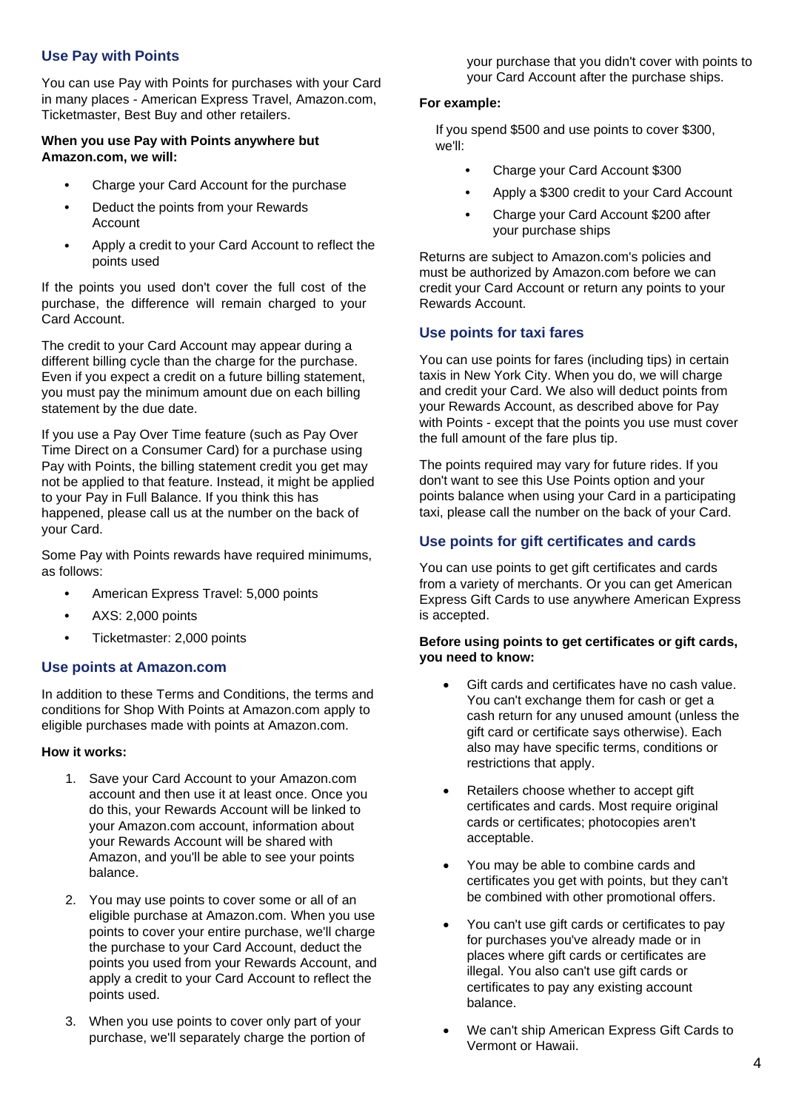#### **Use Pay with Points**

You can use Pay with Points for purchases with your Card in many places - American Express Travel, Amazon.com, Ticketmaster, Best Buy and other retailers.

#### **When you use Pay with Points anywhere but Amazon.com, we will:**

- Charge your Card Account for the purchase
- Deduct the points from your Rewards Account
- Apply a credit to your Card Account to reflect the points used

If the points you used don't cover the full cost of the purchase, the difference will remain charged to your Card Account.

The credit to your Card Account may appear during a different billing cycle than the charge for the purchase. Even if you expect a credit on a future billing statement, you must pay the minimum amount due on each billing statement by the due date.

If you use a Pay Over Time feature (such as Pay Over Time Direct on a Consumer Card) for a purchase using Pay with Points, the billing statement credit you get may not be applied to that feature. Instead, it might be applied to your Pay in Full Balance. If you think this has happened, please call us at the number on the back of your Card.

Some Pay with Points rewards have required minimums, as follows:

- American Express Travel: 5,000 points
- AXS: 2,000 points
- Ticketmaster: 2,000 points

#### **Use points at Amazon.com**

In addition to these Terms and Conditions, the terms and conditions for Shop With Points at Amazon.com apply to eligible purchases made with points at Amazon.com.

#### **How it works:**

- 1. Save your Card Account to your Amazon.com account and then use it at least once. Once you do this, your Rewards Account will be linked to your Amazon.com account, information about your Rewards Account will be shared with Amazon, and you'll be able to see your points balance.
- 2. You may use points to cover some or all of an eligible purchase at Amazon.com. When you use points to cover your entire purchase, we'll charge the purchase to your Card Account, deduct the points you used from your Rewards Account, and apply a credit to your Card Account to reflect the points used.
- 3. When you use points to cover only part of your purchase, we'll separately charge the portion of

your purchase that you didn't cover with points to your Card Account after the purchase ships.

#### **For example:**

If you spend \$500 and use points to cover \$300, we'll:

- Charge your Card Account \$300
- Apply a \$300 credit to your Card Account
- Charge your Card Account \$200 after your purchase ships

Returns are subject to Amazon.com's policies and must be authorized by Amazon.com before we can credit your Card Account or return any points to your Rewards Account.

#### **Use points for taxi fares**

You can use points for fares (including tips) in certain taxis in New York City. When you do, we will charge and credit your Card. We also will deduct points from your Rewards Account, as described above for Pay with Points - except that the points you use must cover the full amount of the fare plus tip.

The points required may vary for future rides. If you don't want to see this Use Points option and your points balance when using your Card in a participating taxi, please call the number on the back of your Card.

#### **Use points for gift certificates and cards**

You can use points to get gift certificates and cards from a variety of merchants. Or you can get American Express Gift Cards to use anywhere American Express is accepted.

#### **Before using points to get certificates or gift cards, you need to know:**

- Gift cards and certificates have no cash value. You can't exchange them for cash or get a cash return for any unused amount (unless the gift card or certificate says otherwise). Each also may have specific terms, conditions or restrictions that apply.
- Retailers choose whether to accept gift certificates and cards. Most require original cards or certificates; photocopies aren't acceptable.
- You may be able to combine cards and certificates you get with points, but they can't be combined with other promotional offers.
- You can't use gift cards or certificates to pay for purchases you've already made or in places where gift cards or certificates are illegal. You also can't use gift cards or certificates to pay any existing account balance.
- We can't ship American Express Gift Cards to Vermont or Hawaii.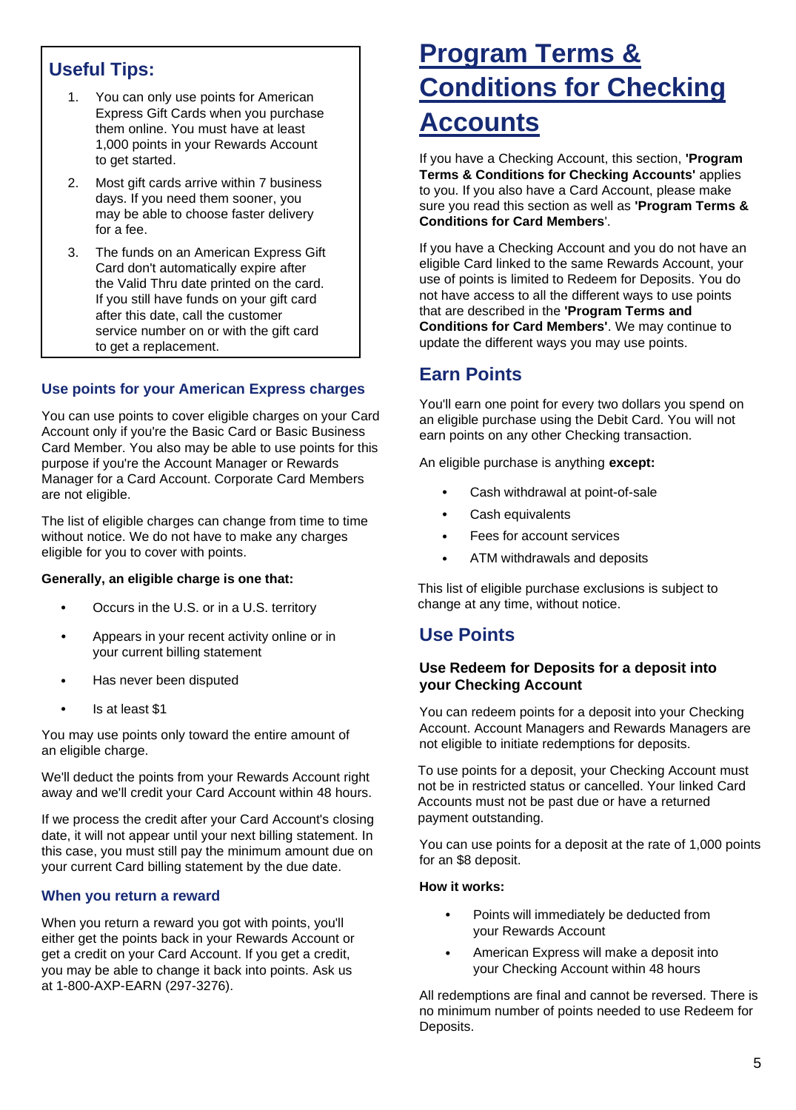## **Useful Tips:**

- 1. You can only use points for American Express Gift Cards when you purchase them online. You must have at least 1,000 points in your Rewards Account to get started.
- 2. Most gift cards arrive within 7 business days. If you need them sooner, you may be able to choose faster delivery for a fee.
- 3. The funds on an American Express Gift Card don't automatically expire after the Valid Thru date printed on the card. If you still have funds on your gift card after this date, call the customer service number on or with the gift card to get a replacement.

#### **Use points for your American Express charges**

You can use points to cover eligible charges on your Card Account only if you're the Basic Card or Basic Business Card Member. You also may be able to use points for this purpose if you're the Account Manager or Rewards Manager for a Card Account. Corporate Card Members are not eligible.

The list of eligible charges can change from time to time without notice. We do not have to make any charges eligible for you to cover with points.

#### **Generally, an eligible charge is one that:**

- Occurs in the U.S. or in a U.S. territory
- Appears in your recent activity online or in your current billing statement
- Has never been disputed
- Is at least \$1

You may use points only toward the entire amount of an eligible charge.

We'll deduct the points from your Rewards Account right away and we'll credit your Card Account within 48 hours.

If we process the credit after your Card Account's closing date, it will not appear until your next billing statement. In this case, you must still pay the minimum amount due on your current Card billing statement by the due date.

#### **When you return a reward**

When you return a reward you got with points, you'll either get the points back in your Rewards Account or get a credit on your Card Account. If you get a credit, you may be able to change it back into points. Ask us at 1-800-AXP-EARN (297-3276).

## **Program Terms & Conditions for Checking Accounts**

If you have a Checking Account, this section, **'Program Terms & Conditions for Checking Accounts'** applies to you. If you also have a Card Account, please make sure you read this section as well as **'Program Terms & Conditions for Card Members**'.

If you have a Checking Account and you do not have an eligible Card linked to the same Rewards Account, your use of points is limited to Redeem for Deposits. You do not have access to all the different ways to use points that are described in the **'Program Terms and Conditions for Card Members'**. We may continue to update the different ways you may use points.

### **Earn Points**

You'll earn one point for every two dollars you spend on an eligible purchase using the Debit Card. You will not earn points on any other Checking transaction.

An eligible purchase is anything **except:**

- Cash withdrawal at point-of-sale
- Cash equivalents
- Fees for account services
- ATM withdrawals and deposits

This list of eligible purchase exclusions is subject to change at any time, without notice.

### **Use Points**

#### **Use Redeem for Deposits for a deposit into your Checking Account**

You can redeem points for a deposit into your Checking Account. Account Managers and Rewards Managers are not eligible to initiate redemptions for deposits.

To use points for a deposit, your Checking Account must not be in restricted status or cancelled. Your linked Card Accounts must not be past due or have a returned payment outstanding.

You can use points for a deposit at the rate of 1,000 points for an \$8 deposit.

#### **How it works:**

- Points will immediately be deducted from your Rewards Account
- American Express will make a deposit into your Checking Account within 48 hours

All redemptions are final and cannot be reversed. There is no minimum number of points needed to use Redeem for Deposits.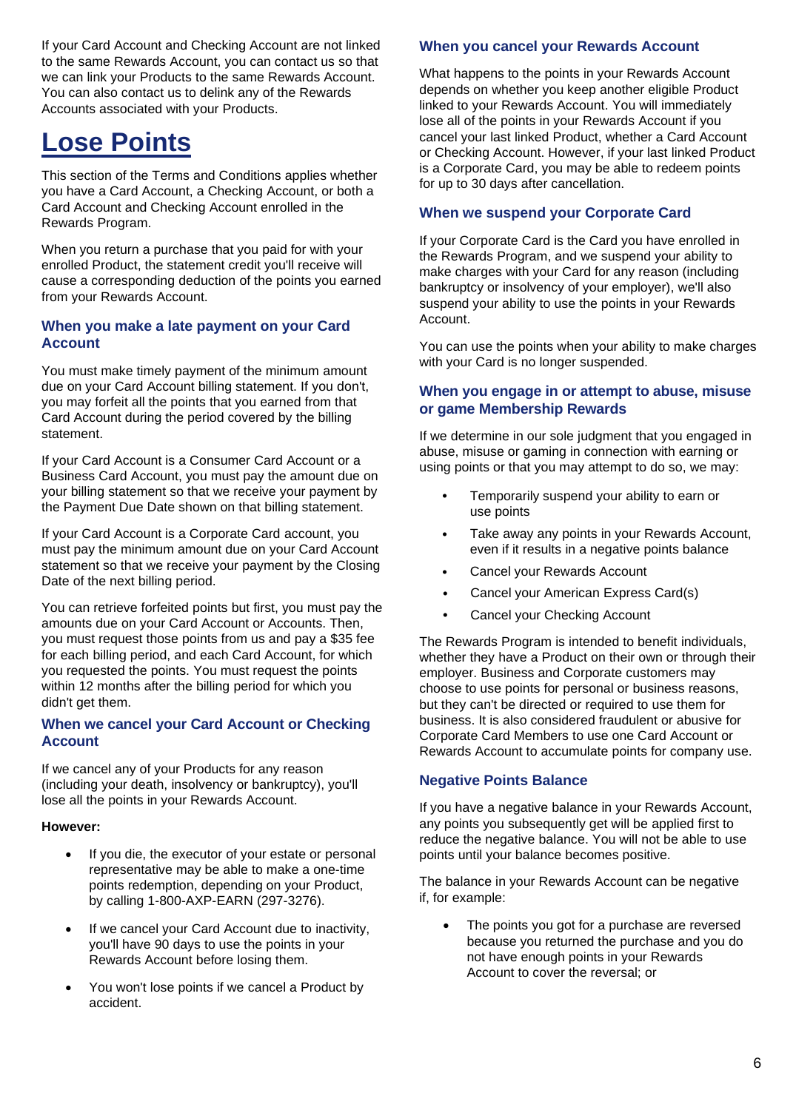If your Card Account and Checking Account are not linked to the same Rewards Account, you can contact us so that we can link your Products to the same Rewards Account. You can also contact us to delink any of the Rewards Accounts associated with your Products.

## **Lose Points**

This section of the Terms and Conditions applies whether you have a Card Account, a Checking Account, or both a Card Account and Checking Account enrolled in the Rewards Program.

When you return a purchase that you paid for with your enrolled Product, the statement credit you'll receive will cause a corresponding deduction of the points you earned from your Rewards Account.

#### **When you make a late payment on your Card Account**

You must make timely payment of the minimum amount due on your Card Account billing statement. If you don't, you may forfeit all the points that you earned from that Card Account during the period covered by the billing statement.

If your Card Account is a Consumer Card Account or a Business Card Account, you must pay the amount due on your billing statement so that we receive your payment by the Payment Due Date shown on that billing statement.

If your Card Account is a Corporate Card account, you must pay the minimum amount due on your Card Account statement so that we receive your payment by the Closing Date of the next billing period.

You can retrieve forfeited points but first, you must pay the amounts due on your Card Account or Accounts. Then, you must request those points from us and pay a \$35 fee for each billing period, and each Card Account, for which you requested the points. You must request the points within 12 months after the billing period for which you didn't get them.

#### **When we cancel your Card Account or Checking Account**

If we cancel any of your Products for any reason (including your death, insolvency or bankruptcy), you'll lose all the points in your Rewards Account.

#### **However:**

- If you die, the executor of your estate or personal representative may be able to make a one-time points redemption, depending on your Product, by calling 1-800-AXP-EARN (297-3276).
- If we cancel your Card Account due to inactivity, you'll have 90 days to use the points in your Rewards Account before losing them.
- You won't lose points if we cancel a Product by accident.

#### **When you cancel your Rewards Account**

What happens to the points in your Rewards Account depends on whether you keep another eligible Product linked to your Rewards Account. You will immediately lose all of the points in your Rewards Account if you cancel your last linked Product, whether a Card Account or Checking Account. However, if your last linked Product is a Corporate Card, you may be able to redeem points for up to 30 days after cancellation.

#### **When we suspend your Corporate Card**

If your Corporate Card is the Card you have enrolled in the Rewards Program, and we suspend your ability to make charges with your Card for any reason (including bankruptcy or insolvency of your employer), we'll also suspend your ability to use the points in your Rewards Account.

You can use the points when your ability to make charges with your Card is no longer suspended.

#### **When you engage in or attempt to abuse, misuse or game Membership Rewards**

If we determine in our sole judgment that you engaged in abuse, misuse or gaming in connection with earning or using points or that you may attempt to do so, we may:

- Temporarily suspend your ability to earn or use points
- Take away any points in your Rewards Account, even if it results in a negative points balance
- Cancel your Rewards Account
- Cancel your American Express Card(s)
- Cancel your Checking Account

The Rewards Program is intended to benefit individuals, whether they have a Product on their own or through their employer. Business and Corporate customers may choose to use points for personal or business reasons, but they can't be directed or required to use them for business. It is also considered fraudulent or abusive for Corporate Card Members to use one Card Account or Rewards Account to accumulate points for company use.

#### **Negative Points Balance**

If you have a negative balance in your Rewards Account, any points you subsequently get will be applied first to reduce the negative balance. You will not be able to use points until your balance becomes positive.

The balance in your Rewards Account can be negative if, for example:

• The points you got for a purchase are reversed because you returned the purchase and you do not have enough points in your Rewards Account to cover the reversal; or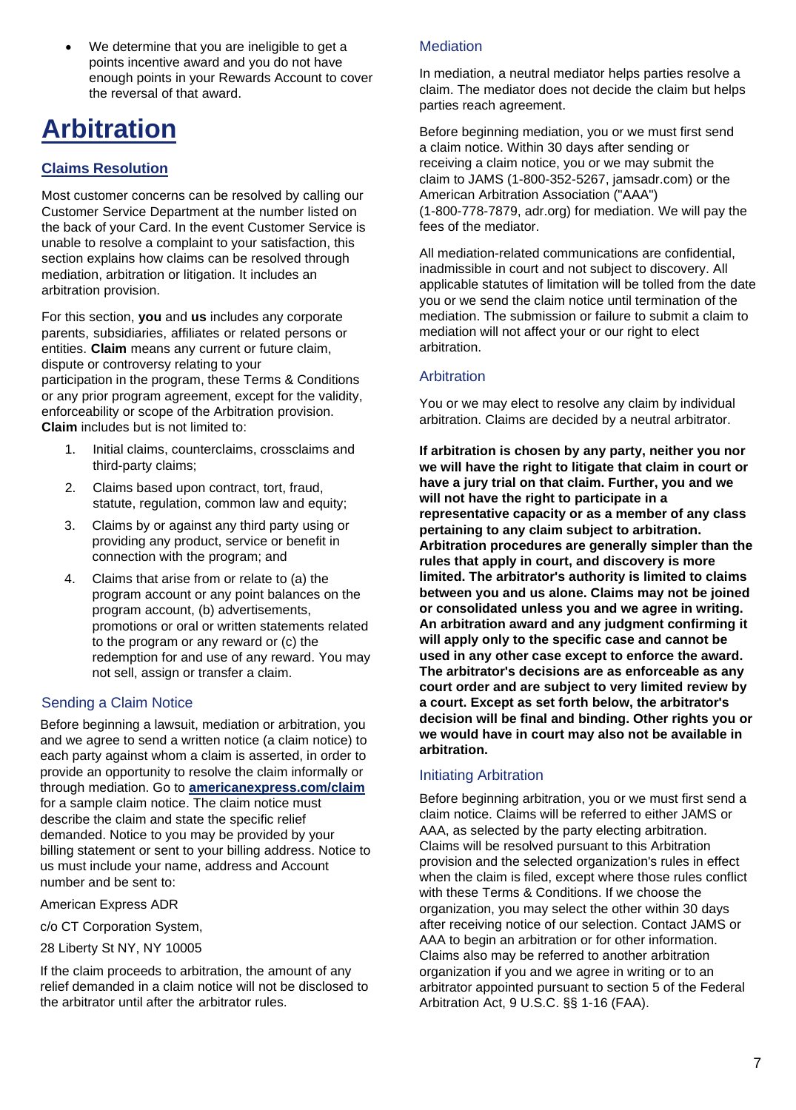• We determine that you are ineligible to get a points incentive award and you do not have enough points in your Rewards Account to cover the reversal of that award.

## **Arbitration**

### **Claims Resolution**

Most customer concerns can be resolved by calling our Customer Service Department at the number listed on the back of your Card. In the event Customer Service is unable to resolve a complaint to your satisfaction, this section explains how claims can be resolved through mediation, arbitration or litigation. It includes an arbitration provision.

For this section, **you** and **us** includes any corporate parents, subsidiaries, affiliates or related persons or entities. **Claim** means any current or future claim, dispute or controversy relating to your participation in the program, these Terms & Conditions or any prior program agreement, except for the validity, enforceability or scope of the Arbitration provision. **Claim** includes but is not limited to:

- 1. Initial claims, counterclaims, crossclaims and third-party claims;
- 2. Claims based upon contract, tort, fraud, statute, regulation, common law and equity;
- 3. Claims by or against any third party using or providing any product, service or benefit in connection with the program; and
- 4. Claims that arise from or relate to (a) the program account or any point balances on the program account, (b) advertisements, promotions or oral or written statements related to the program or any reward or (c) the redemption for and use of any reward. You may not sell, assign or transfer a claim.

#### Sending a Claim Notice

Before beginning a lawsuit, mediation or arbitration, you and we agree to send a written notice (a claim notice) to each party against whom a claim is asserted, in order to provide an opportunity to resolve the claim informally or through mediation. Go to **[americanexpress.com/claim](https://www.americanexpress.com/content/dam/amex/us/staticassets/pdf/GCO/gco_claim.pdf)** for a sample claim notice. The claim notice must describe the claim and state the specific relief demanded. Notice to you may be provided by your billing statement or sent to your billing address. Notice to us must include your name, address and Account number and be sent to:

American Express ADR

- c/o CT Corporation System,
- 28 Liberty St NY, NY 10005

If the claim proceeds to arbitration, the amount of any relief demanded in a claim notice will not be disclosed to the arbitrator until after the arbitrator rules.

#### **Mediation**

In mediation, a neutral mediator helps parties resolve a claim. The mediator does not decide the claim but helps parties reach agreement.

Before beginning mediation, you or we must first send a claim notice. Within 30 days after sending or receiving a claim notice, you or we may submit the claim to JAMS (1-800-352-5267, jamsadr.com) or the American Arbitration Association ("AAA") (1-800-778-7879, adr.org) for mediation. We will pay the fees of the mediator.

All mediation-related communications are confidential, inadmissible in court and not subject to discovery. All applicable statutes of limitation will be tolled from the date you or we send the claim notice until termination of the mediation. The submission or failure to submit a claim to mediation will not affect your or our right to elect arbitration.

#### **Arbitration**

You or we may elect to resolve any claim by individual arbitration. Claims are decided by a neutral arbitrator.

**If arbitration is chosen by any party, neither you nor we will have the right to litigate that claim in court or have a jury trial on that claim. Further, you and we will not have the right to participate in a representative capacity or as a member of any class pertaining to any claim subject to arbitration. Arbitration procedures are generally simpler than the rules that apply in court, and discovery is more limited. The arbitrator's authority is limited to claims between you and us alone. Claims may not be joined or consolidated unless you and we agree in writing. An arbitration award and any judgment confirming it will apply only to the specific case and cannot be used in any other case except to enforce the award. The arbitrator's decisions are as enforceable as any court order and are subject to very limited review by a court. Except as set forth below, the arbitrator's decision will be final and binding. Other rights you or we would have in court may also not be available in arbitration.**

#### Initiating Arbitration

Before beginning arbitration, you or we must first send a claim notice. Claims will be referred to either JAMS or AAA, as selected by the party electing arbitration. Claims will be resolved pursuant to this Arbitration provision and the selected organization's rules in effect when the claim is filed, except where those rules conflict with these Terms & Conditions. If we choose the organization, you may select the other within 30 days after receiving notice of our selection. Contact JAMS or AAA to begin an arbitration or for other information. Claims also may be referred to another arbitration organization if you and we agree in writing or to an arbitrator appointed pursuant to section 5 of the Federal Arbitration Act, 9 U.S.C. §§ 1-16 (FAA).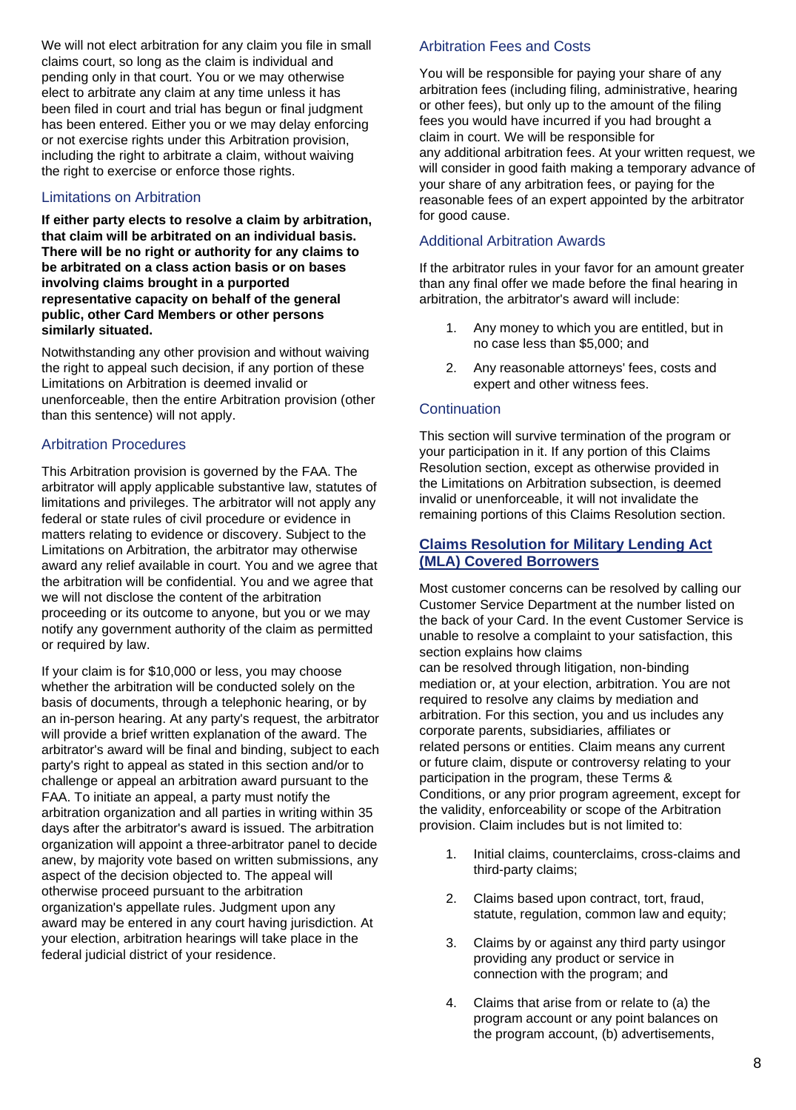We will not elect arbitration for any claim you file in small claims court, so long as the claim is individual and pending only in that court. You or we may otherwise elect to arbitrate any claim at any time unless it has been filed in court and trial has begun or final judgment has been entered. Either you or we may delay enforcing or not exercise rights under this Arbitration provision, including the right to arbitrate a claim, without waiving the right to exercise or enforce those rights.

#### Limitations on Arbitration

**If either party elects to resolve a claim by arbitration, that claim will be arbitrated on an individual basis. There will be no right or authority for any claims to be arbitrated on a class action basis or on bases involving claims brought in a purported representative capacity on behalf of the general public, other Card Members or other persons similarly situated.**

Notwithstanding any other provision and without waiving the right to appeal such decision, if any portion of these Limitations on Arbitration is deemed invalid or unenforceable, then the entire Arbitration provision (other than this sentence) will not apply.

#### Arbitration Procedures

This Arbitration provision is governed by the FAA. The arbitrator will apply applicable substantive law, statutes of limitations and privileges. The arbitrator will not apply any federal or state rules of civil procedure or evidence in matters relating to evidence or discovery. Subject to the Limitations on Arbitration, the arbitrator may otherwise award any relief available in court. You and we agree that the arbitration will be confidential. You and we agree that we will not disclose the content of the arbitration proceeding or its outcome to anyone, but you or we may notify any government authority of the claim as permitted or required by law.

If your claim is for \$10,000 or less, you may choose whether the arbitration will be conducted solely on the basis of documents, through a telephonic hearing, or by an in-person hearing. At any party's request, the arbitrator will provide a brief written explanation of the award. The arbitrator's award will be final and binding, subject to each party's right to appeal as stated in this section and/or to challenge or appeal an arbitration award pursuant to the FAA. To initiate an appeal, a party must notify the arbitration organization and all parties in writing within 35 days after the arbitrator's award is issued. The arbitration organization will appoint a three-arbitrator panel to decide anew, by majority vote based on written submissions, any aspect of the decision objected to. The appeal will otherwise proceed pursuant to the arbitration organization's appellate rules. Judgment upon any award may be entered in any court having jurisdiction. At your election, arbitration hearings will take place in the federal judicial district of your residence.

#### Arbitration Fees and Costs

You will be responsible for paying your share of any arbitration fees (including filing, administrative, hearing or other fees), but only up to the amount of the filing fees you would have incurred if you had brought a claim in court. We will be responsible for any additional arbitration fees. At your written request, we will consider in good faith making a temporary advance of your share of any arbitration fees, or paying for the reasonable fees of an expert appointed by the arbitrator for good cause.

#### Additional Arbitration Awards

If the arbitrator rules in your favor for an amount greater than any final offer we made before the final hearing in arbitration, the arbitrator's award will include:

- 1. Any money to which you are entitled, but in no case less than \$5,000; and
- 2. Any reasonable attorneys' fees, costs and expert and other witness fees.

#### **Continuation**

This section will survive termination of the program or your participation in it. If any portion of this Claims Resolution section, except as otherwise provided in the Limitations on Arbitration subsection, is deemed invalid or unenforceable, it will not invalidate the remaining portions of this Claims Resolution section.

#### **Claims Resolution for Military Lending Act (MLA) Covered Borrowers**

Most customer concerns can be resolved by calling our Customer Service Department at the number listed on the back of your Card. In the event Customer Service is unable to resolve a complaint to your satisfaction, this section explains how claims

can be resolved through litigation, non-binding mediation or, at your election, arbitration. You are not required to resolve any claims by mediation and arbitration. For this section, you and us includes any corporate parents, subsidiaries, affiliates or related persons or entities. Claim means any current or future claim, dispute or controversy relating to your participation in the program, these Terms & Conditions, or any prior program agreement, except for the validity, enforceability or scope of the Arbitration provision. Claim includes but is not limited to:

- 1. Initial claims, counterclaims, cross-claims and third-party claims;
- 2. Claims based upon contract, tort, fraud, statute, regulation, common law and equity;
- 3. Claims by or against any third party usingor providing any product or service in connection with the program; and
- 4. Claims that arise from or relate to (a) the program account or any point balances on the program account, (b) advertisements,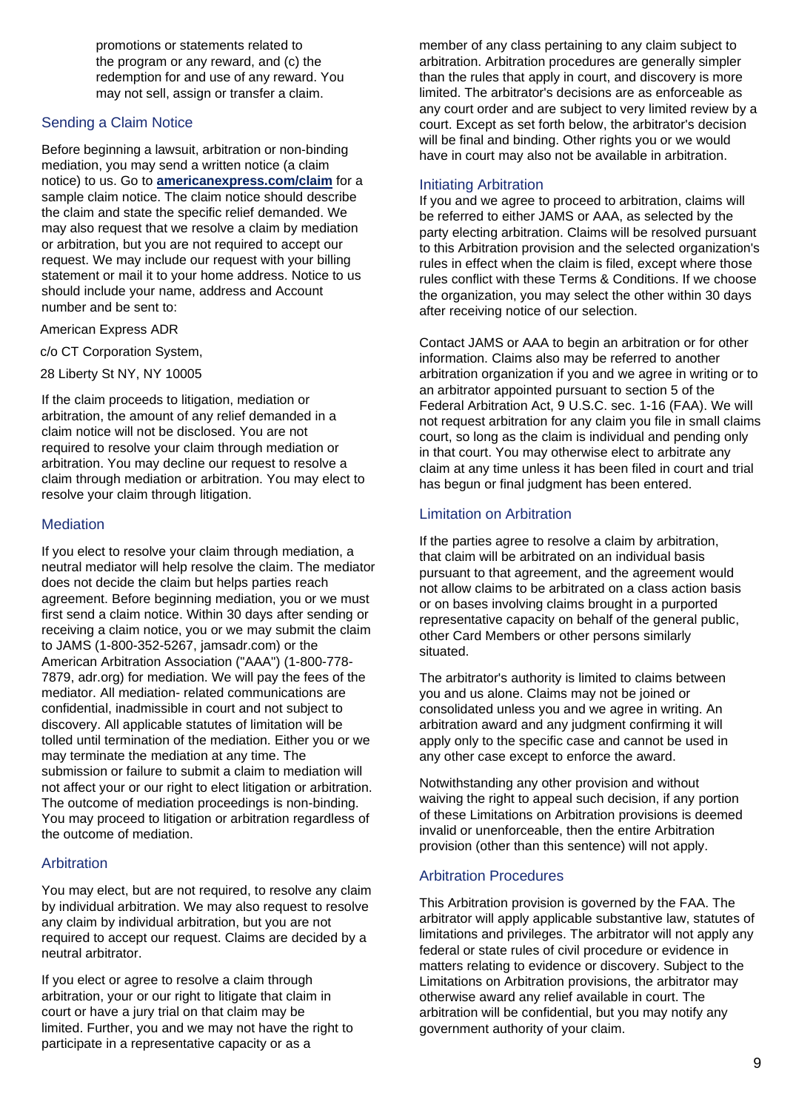promotions or statements related to the program or any reward, and (c) the redemption for and use of any reward. You may not sell, assign or transfer a claim.

#### Sending a Claim Notice

Before beginning a lawsuit, arbitration or non-binding mediation, you may send a written notice (a claim notice) to us. Go to **[americanexpress.com/claim](https://www.americanexpress.com/content/dam/amex/us/staticassets/pdf/GCO/gco_claim.pdf)** for a sample claim notice. The claim notice should describe the claim and state the specific relief demanded. We may also request that we resolve a claim by mediation or arbitration, but you are not required to accept our request. We may include our request with your billing statement or mail it to your home address. Notice to us should include your name, address and Account number and be sent to:

American Express ADR

c/o CT Corporation System,

28 Liberty St NY, NY 10005

If the claim proceeds to litigation, mediation or arbitration, the amount of any relief demanded in a claim notice will not be disclosed. You are not required to resolve your claim through mediation or arbitration. You may decline our request to resolve a claim through mediation or arbitration. You may elect to resolve your claim through litigation.

#### **Mediation**

If you elect to resolve your claim through mediation, a neutral mediator will help resolve the claim. The mediator does not decide the claim but helps parties reach agreement. Before beginning mediation, you or we must first send a claim notice. Within 30 days after sending or receiving a claim notice, you or we may submit the claim to JAMS (1-800-352-5267, jamsadr.com) or the American Arbitration Association ("AAA") (1-800-778- 7879, adr.org) for mediation. We will pay the fees of the mediator. All mediation- related communications are confidential, inadmissible in court and not subject to discovery. All applicable statutes of limitation will be tolled until termination of the mediation. Either you or we may terminate the mediation at any time. The submission or failure to submit a claim to mediation will not affect your or our right to elect litigation or arbitration. The outcome of mediation proceedings is non-binding. You may proceed to litigation or arbitration regardless of the outcome of mediation.

#### Arbitration

You may elect, but are not required, to resolve any claim by individual arbitration. We may also request to resolve any claim by individual arbitration, but you are not required to accept our request. Claims are decided by a neutral arbitrator.

If you elect or agree to resolve a claim through arbitration, your or our right to litigate that claim in court or have a jury trial on that claim may be limited. Further, you and we may not have the right to participate in a representative capacity or as a

member of any class pertaining to any claim subject to arbitration. Arbitration procedures are generally simpler than the rules that apply in court, and discovery is more limited. The arbitrator's decisions are as enforceable as any court order and are subject to very limited review by a court. Except as set forth below, the arbitrator's decision will be final and binding. Other rights you or we would have in court may also not be available in arbitration.

#### Initiating Arbitration

If you and we agree to proceed to arbitration, claims will be referred to either JAMS or AAA, as selected by the party electing arbitration. Claims will be resolved pursuant to this Arbitration provision and the selected organization's rules in effect when the claim is filed, except where those rules conflict with these Terms & Conditions. If we choose the organization, you may select the other within 30 days after receiving notice of our selection.

Contact JAMS or AAA to begin an arbitration or for other information. Claims also may be referred to another arbitration organization if you and we agree in writing or to an arbitrator appointed pursuant to section 5 of the Federal Arbitration Act, 9 U.S.C. sec. 1-16 (FAA). We will not request arbitration for any claim you file in small claims court, so long as the claim is individual and pending only in that court. You may otherwise elect to arbitrate any claim at any time unless it has been filed in court and trial has begun or final judgment has been entered.

#### Limitation on Arbitration

If the parties agree to resolve a claim by arbitration, that claim will be arbitrated on an individual basis pursuant to that agreement, and the agreement would not allow claims to be arbitrated on a class action basis or on bases involving claims brought in a purported representative capacity on behalf of the general public, other Card Members or other persons similarly situated.

The arbitrator's authority is limited to claims between you and us alone. Claims may not be joined or consolidated unless you and we agree in writing. An arbitration award and any judgment confirming it will apply only to the specific case and cannot be used in any other case except to enforce the award.

Notwithstanding any other provision and without waiving the right to appeal such decision, if any portion of these Limitations on Arbitration provisions is deemed invalid or unenforceable, then the entire Arbitration provision (other than this sentence) will not apply.

#### Arbitration Procedures

This Arbitration provision is governed by the FAA. The arbitrator will apply applicable substantive law, statutes of limitations and privileges. The arbitrator will not apply any federal or state rules of civil procedure or evidence in matters relating to evidence or discovery. Subject to the Limitations on Arbitration provisions, the arbitrator may otherwise award any relief available in court. The arbitration will be confidential, but you may notify any government authority of your claim.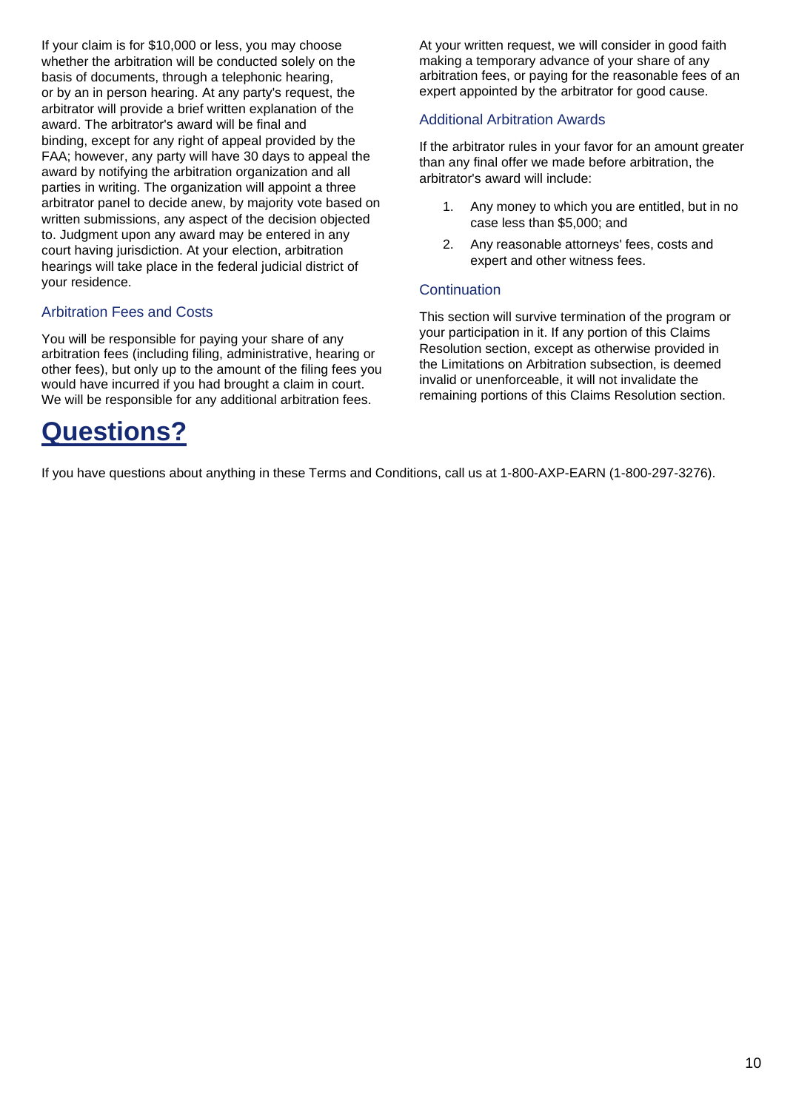If your claim is for \$10,000 or less, you may choose whether the arbitration will be conducted solely on the basis of documents, through a telephonic hearing, or by an in person hearing. At any party's request, the arbitrator will provide a brief written explanation of the award. The arbitrator's award will be final and binding, except for any right of appeal provided by the FAA; however, any party will have 30 days to appeal the award by notifying the arbitration organization and all parties in writing. The organization will appoint a three arbitrator panel to decide anew, by majority vote based on written submissions, any aspect of the decision objected to. Judgment upon any award may be entered in any court having jurisdiction. At your election, arbitration hearings will take place in the federal judicial district of your residence.

#### Arbitration Fees and Costs

You will be responsible for paying your share of any arbitration fees (including filing, administrative, hearing or other fees), but only up to the amount of the filing fees you would have incurred if you had brought a claim in court. We will be responsible for any additional arbitration fees.

## **Questions?**

At your written request, we will consider in good faith making a temporary advance of your share of any arbitration fees, or paying for the reasonable fees of an expert appointed by the arbitrator for good cause.

#### Additional Arbitration Awards

If the arbitrator rules in your favor for an amount greater than any final offer we made before arbitration, the arbitrator's award will include:

- 1. Any money to which you are entitled, but in no case less than \$5,000; and
- 2. Any reasonable attorneys' fees, costs and expert and other witness fees.

#### **Continuation**

This section will survive termination of the program or your participation in it. If any portion of this Claims Resolution section, except as otherwise provided in the Limitations on Arbitration subsection, is deemed invalid or unenforceable, it will not invalidate the remaining portions of this Claims Resolution section.

If you have questions about anything in these Terms and Conditions, call us at 1-800-AXP-EARN (1-800-297-3276).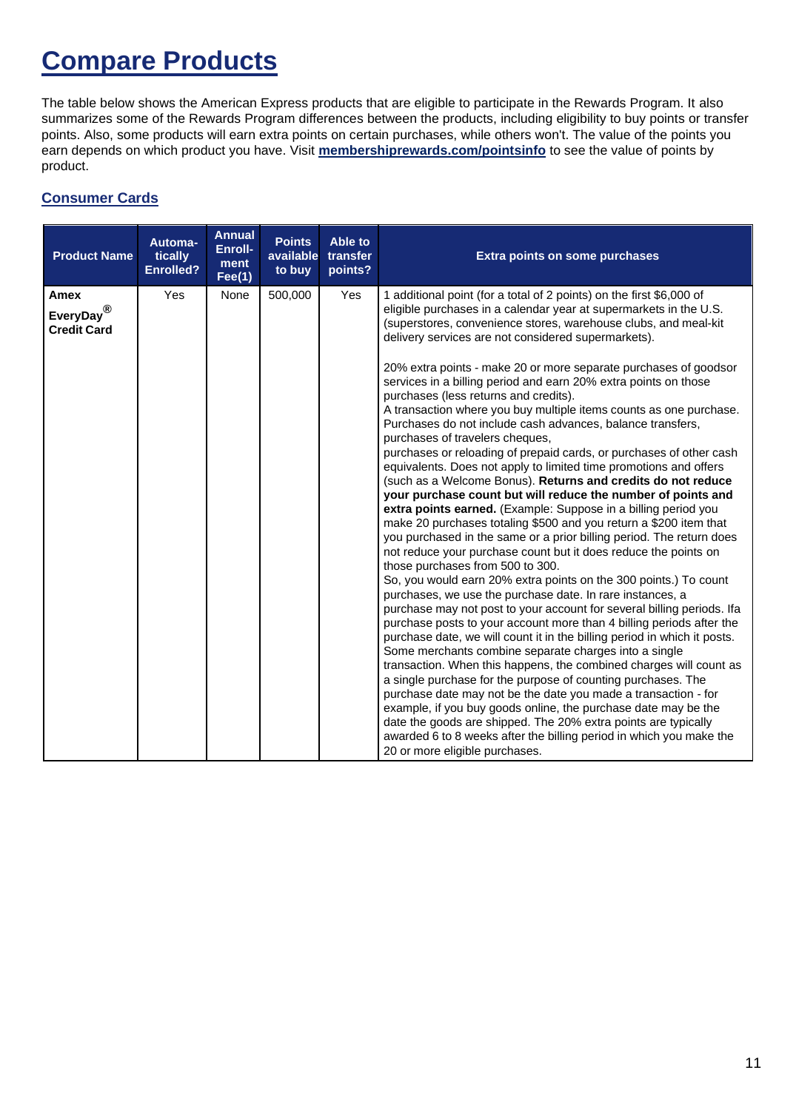## **Compare Products**

The table below shows the American Express products that are eligible to participate in the Rewards Program. It also summarizes some of the Rewards Program differences between the products, including eligibility to buy points or transfer points. Also, some products will earn extra points on certain purchases, while others won't. The value of the points you earn depends on which product you have. Visit **[membershiprewards.com/pointsinfo](https://global.americanexpress.com/rewards/calculator)** to see the value of points by product.

#### **Consumer Cards**

| <b>Product Name</b>                                   | Automa-<br>tically<br><b>Enrolled?</b> | <b>Annual</b><br>Enroll-<br>ment<br>Fee(1) | <b>Points</b><br>available<br>to buy | Able to<br>transfer<br>points? | <b>Extra points on some purchases</b>                                                                                                                                                                                                                                                                                                                                                                                                                                                                                                                                                                                                                                                                                                                                                                                                                                                                                                                                                                                                                                                                                                                                                                                                                                                                                                                                                                                                                                                                                                                                                                                                                                                                                                                                                                                                                                                                                                                                                                                                                                                                      |
|-------------------------------------------------------|----------------------------------------|--------------------------------------------|--------------------------------------|--------------------------------|------------------------------------------------------------------------------------------------------------------------------------------------------------------------------------------------------------------------------------------------------------------------------------------------------------------------------------------------------------------------------------------------------------------------------------------------------------------------------------------------------------------------------------------------------------------------------------------------------------------------------------------------------------------------------------------------------------------------------------------------------------------------------------------------------------------------------------------------------------------------------------------------------------------------------------------------------------------------------------------------------------------------------------------------------------------------------------------------------------------------------------------------------------------------------------------------------------------------------------------------------------------------------------------------------------------------------------------------------------------------------------------------------------------------------------------------------------------------------------------------------------------------------------------------------------------------------------------------------------------------------------------------------------------------------------------------------------------------------------------------------------------------------------------------------------------------------------------------------------------------------------------------------------------------------------------------------------------------------------------------------------------------------------------------------------------------------------------------------------|
| Amex<br>EveryDay $^{\circledR}$<br><b>Credit Card</b> | Yes                                    | None                                       | 500,000                              | Yes                            | 1 additional point (for a total of 2 points) on the first \$6,000 of<br>eligible purchases in a calendar year at supermarkets in the U.S.<br>(superstores, convenience stores, warehouse clubs, and meal-kit<br>delivery services are not considered supermarkets).<br>20% extra points - make 20 or more separate purchases of goodsor<br>services in a billing period and earn 20% extra points on those<br>purchases (less returns and credits).<br>A transaction where you buy multiple items counts as one purchase.<br>Purchases do not include cash advances, balance transfers,<br>purchases of travelers cheques,<br>purchases or reloading of prepaid cards, or purchases of other cash<br>equivalents. Does not apply to limited time promotions and offers<br>(such as a Welcome Bonus). Returns and credits do not reduce<br>your purchase count but will reduce the number of points and<br>extra points earned. (Example: Suppose in a billing period you<br>make 20 purchases totaling \$500 and you return a \$200 item that<br>you purchased in the same or a prior billing period. The return does<br>not reduce your purchase count but it does reduce the points on<br>those purchases from 500 to 300.<br>So, you would earn 20% extra points on the 300 points.) To count<br>purchases, we use the purchase date. In rare instances, a<br>purchase may not post to your account for several billing periods. If a<br>purchase posts to your account more than 4 billing periods after the<br>purchase date, we will count it in the billing period in which it posts.<br>Some merchants combine separate charges into a single<br>transaction. When this happens, the combined charges will count as<br>a single purchase for the purpose of counting purchases. The<br>purchase date may not be the date you made a transaction - for<br>example, if you buy goods online, the purchase date may be the<br>date the goods are shipped. The 20% extra points are typically<br>awarded 6 to 8 weeks after the billing period in which you make the<br>20 or more eligible purchases. |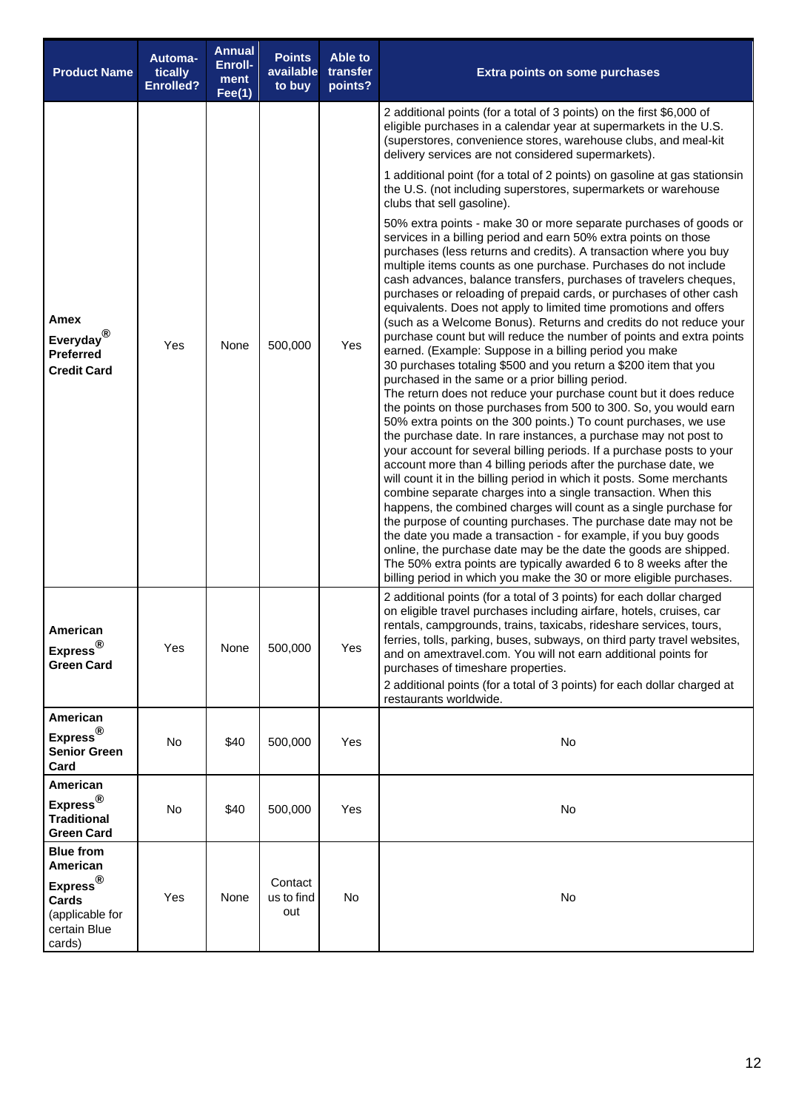| <b>Product Name</b>                                                                                                | Automa-<br>tically<br><b>Enrolled?</b> | <b>Annual</b><br>Enroll-<br>ment<br>Fee(1) | <b>Points</b><br>available<br>to buy | Able to<br>transfer<br>points? | <b>Extra points on some purchases</b>                                                                                                                                                                                                                                                                                                                                                                                                                                                                                                                                                                                                                                                                                                                                                                                                                                                                                                                                                                                                                                                                                                                                                                                                                                                                                                                                                                                                                                                                                                                                                                                                                                                                                                                                                                                          |  |
|--------------------------------------------------------------------------------------------------------------------|----------------------------------------|--------------------------------------------|--------------------------------------|--------------------------------|--------------------------------------------------------------------------------------------------------------------------------------------------------------------------------------------------------------------------------------------------------------------------------------------------------------------------------------------------------------------------------------------------------------------------------------------------------------------------------------------------------------------------------------------------------------------------------------------------------------------------------------------------------------------------------------------------------------------------------------------------------------------------------------------------------------------------------------------------------------------------------------------------------------------------------------------------------------------------------------------------------------------------------------------------------------------------------------------------------------------------------------------------------------------------------------------------------------------------------------------------------------------------------------------------------------------------------------------------------------------------------------------------------------------------------------------------------------------------------------------------------------------------------------------------------------------------------------------------------------------------------------------------------------------------------------------------------------------------------------------------------------------------------------------------------------------------------|--|
|                                                                                                                    |                                        |                                            |                                      |                                | 2 additional points (for a total of 3 points) on the first \$6,000 of<br>eligible purchases in a calendar year at supermarkets in the U.S.<br>(superstores, convenience stores, warehouse clubs, and meal-kit<br>delivery services are not considered supermarkets).                                                                                                                                                                                                                                                                                                                                                                                                                                                                                                                                                                                                                                                                                                                                                                                                                                                                                                                                                                                                                                                                                                                                                                                                                                                                                                                                                                                                                                                                                                                                                           |  |
|                                                                                                                    |                                        |                                            |                                      |                                | 1 additional point (for a total of 2 points) on gasoline at gas stationsin<br>the U.S. (not including superstores, supermarkets or warehouse<br>clubs that sell gasoline).                                                                                                                                                                                                                                                                                                                                                                                                                                                                                                                                                                                                                                                                                                                                                                                                                                                                                                                                                                                                                                                                                                                                                                                                                                                                                                                                                                                                                                                                                                                                                                                                                                                     |  |
| Amex<br>Everyday <sup>®</sup><br><b>Preferred</b><br><b>Credit Card</b>                                            | Yes                                    | None                                       | 500,000                              | Yes                            | 50% extra points - make 30 or more separate purchases of goods or<br>services in a billing period and earn 50% extra points on those<br>purchases (less returns and credits). A transaction where you buy<br>multiple items counts as one purchase. Purchases do not include<br>cash advances, balance transfers, purchases of travelers cheques,<br>purchases or reloading of prepaid cards, or purchases of other cash<br>equivalents. Does not apply to limited time promotions and offers<br>(such as a Welcome Bonus). Returns and credits do not reduce your<br>purchase count but will reduce the number of points and extra points<br>earned. (Example: Suppose in a billing period you make<br>30 purchases totaling \$500 and you return a \$200 item that you<br>purchased in the same or a prior billing period.<br>The return does not reduce your purchase count but it does reduce<br>the points on those purchases from 500 to 300. So, you would earn<br>50% extra points on the 300 points.) To count purchases, we use<br>the purchase date. In rare instances, a purchase may not post to<br>your account for several billing periods. If a purchase posts to your<br>account more than 4 billing periods after the purchase date, we<br>will count it in the billing period in which it posts. Some merchants<br>combine separate charges into a single transaction. When this<br>happens, the combined charges will count as a single purchase for<br>the purpose of counting purchases. The purchase date may not be<br>the date you made a transaction - for example, if you buy goods<br>online, the purchase date may be the date the goods are shipped.<br>The 50% extra points are typically awarded 6 to 8 weeks after the<br>billing period in which you make the 30 or more eligible purchases. |  |
| American<br>$Express^{\circledR}$<br><b>Green Card</b>                                                             | Yes                                    | None                                       | 500,000                              | Yes                            | 2 additional points (for a total of 3 points) for each dollar charged<br>on eligible travel purchases including airfare, hotels, cruises, car<br>rentals, campgrounds, trains, taxicabs, rideshare services, tours,<br>ferries, tolls, parking, buses, subways, on third party travel websites,<br>and on amextravel.com. You will not earn additional points for<br>purchases of timeshare properties.<br>2 additional points (for a total of 3 points) for each dollar charged at<br>restaurants worldwide.                                                                                                                                                                                                                                                                                                                                                                                                                                                                                                                                                                                                                                                                                                                                                                                                                                                                                                                                                                                                                                                                                                                                                                                                                                                                                                                  |  |
| American<br>Express <sup>®</sup><br><b>Senior Green</b><br>Card                                                    | No                                     | \$40                                       | 500,000                              | Yes                            | No                                                                                                                                                                                                                                                                                                                                                                                                                                                                                                                                                                                                                                                                                                                                                                                                                                                                                                                                                                                                                                                                                                                                                                                                                                                                                                                                                                                                                                                                                                                                                                                                                                                                                                                                                                                                                             |  |
| American<br>Express <sup>®</sup><br><b>Traditional</b><br><b>Green Card</b>                                        | No                                     | \$40                                       | 500,000                              | Yes                            | No                                                                                                                                                                                                                                                                                                                                                                                                                                                                                                                                                                                                                                                                                                                                                                                                                                                                                                                                                                                                                                                                                                                                                                                                                                                                                                                                                                                                                                                                                                                                                                                                                                                                                                                                                                                                                             |  |
| <b>Blue from</b><br>American<br>$\mathsf{Express}^\circledR$<br>Cards<br>(applicable for<br>certain Blue<br>cards) | Yes                                    | None                                       | Contact<br>us to find<br>out         | No                             | No                                                                                                                                                                                                                                                                                                                                                                                                                                                                                                                                                                                                                                                                                                                                                                                                                                                                                                                                                                                                                                                                                                                                                                                                                                                                                                                                                                                                                                                                                                                                                                                                                                                                                                                                                                                                                             |  |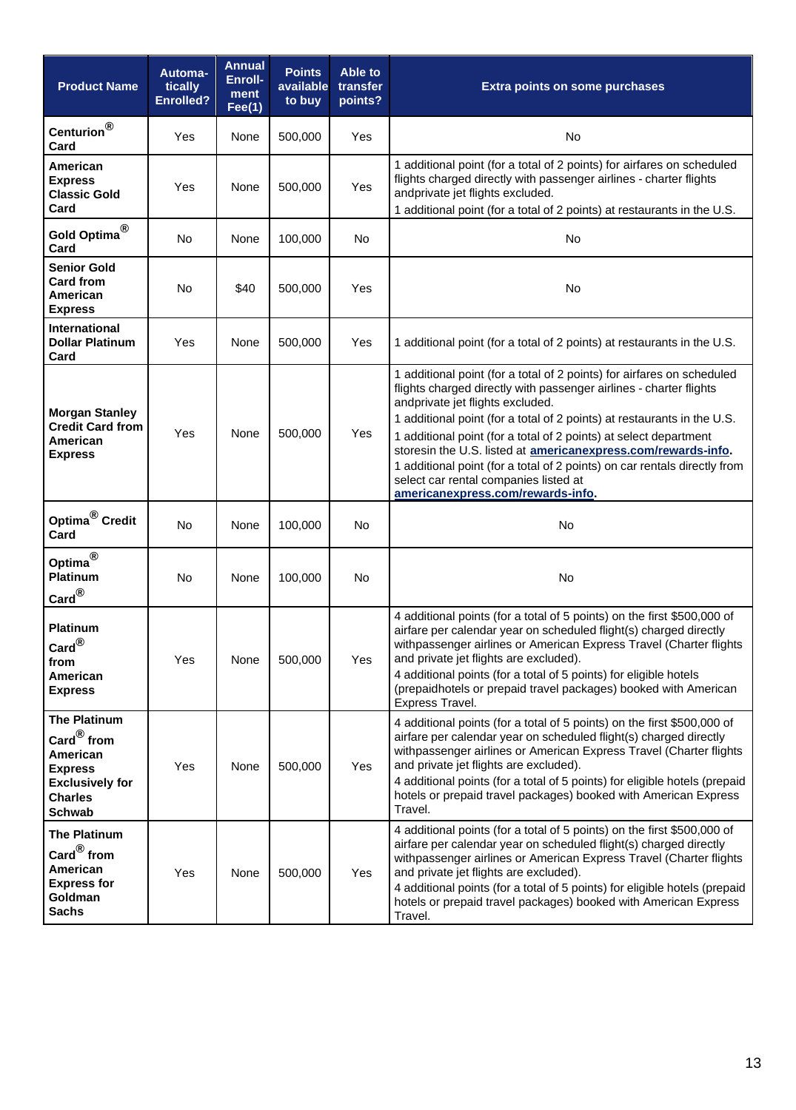| <b>Product Name</b>                                                                                                                       | Automa-<br>tically<br><b>Enrolled?</b> | <b>Annual</b><br>Enroll-<br>ment<br>Fee(1) | <b>Points</b><br>available<br>to buy | Able to<br>transfer<br>points? | <b>Extra points on some purchases</b>                                                                                                                                                                                                                                                                                                                                                                                                                                                                                                                        |  |
|-------------------------------------------------------------------------------------------------------------------------------------------|----------------------------------------|--------------------------------------------|--------------------------------------|--------------------------------|--------------------------------------------------------------------------------------------------------------------------------------------------------------------------------------------------------------------------------------------------------------------------------------------------------------------------------------------------------------------------------------------------------------------------------------------------------------------------------------------------------------------------------------------------------------|--|
| Centurion $^{\circledR}$<br>Card                                                                                                          | <b>Yes</b>                             | None                                       | 500,000                              | Yes                            | <b>No</b>                                                                                                                                                                                                                                                                                                                                                                                                                                                                                                                                                    |  |
| American<br><b>Express</b><br><b>Classic Gold</b><br>Card                                                                                 | Yes                                    | None                                       | 500,000                              | Yes                            | 1 additional point (for a total of 2 points) for airfares on scheduled<br>flights charged directly with passenger airlines - charter flights<br>andprivate jet flights excluded.<br>1 additional point (for a total of 2 points) at restaurants in the U.S.                                                                                                                                                                                                                                                                                                  |  |
| Gold Optima <sup>®</sup><br>Card                                                                                                          | No                                     | None                                       | 100,000                              | No                             | No                                                                                                                                                                                                                                                                                                                                                                                                                                                                                                                                                           |  |
| <b>Senior Gold</b><br>Card from<br>American<br><b>Express</b>                                                                             | No                                     | \$40                                       | 500,000                              | Yes                            | No                                                                                                                                                                                                                                                                                                                                                                                                                                                                                                                                                           |  |
| <b>International</b><br><b>Dollar Platinum</b><br>Card                                                                                    | <b>Yes</b>                             | None                                       | 500,000                              | Yes                            | 1 additional point (for a total of 2 points) at restaurants in the U.S.                                                                                                                                                                                                                                                                                                                                                                                                                                                                                      |  |
| <b>Morgan Stanley</b><br><b>Credit Card from</b><br>American<br><b>Express</b>                                                            | Yes                                    | None                                       | 500,000                              | Yes                            | 1 additional point (for a total of 2 points) for airfares on scheduled<br>flights charged directly with passenger airlines - charter flights<br>andprivate jet flights excluded.<br>1 additional point (for a total of 2 points) at restaurants in the U.S.<br>1 additional point (for a total of 2 points) at select department<br>storesin the U.S. listed at americanexpress.com/rewards-info.<br>1 additional point (for a total of 2 points) on car rentals directly from<br>select car rental companies listed at<br>americanexpress.com/rewards-info. |  |
| Optima <sup>®</sup> Credit<br>Card                                                                                                        | <b>No</b>                              | None                                       | 100,000                              | No                             | No                                                                                                                                                                                                                                                                                                                                                                                                                                                                                                                                                           |  |
| Optima <sup>®</sup><br>Platinum<br>$\mathbf{Card}^{\circledR}$                                                                            | <b>No</b>                              | None                                       | 100,000                              | <b>No</b>                      | No                                                                                                                                                                                                                                                                                                                                                                                                                                                                                                                                                           |  |
| <b>Platinum</b><br>$\operatorname{\sf Card}^{\circledR}$<br>from<br>American<br><b>Express</b>                                            | Yes                                    | None                                       | 500,000                              | Yes                            | 4 additional points (for a total of 5 points) on the first \$500,000 of<br>airfare per calendar year on scheduled flight(s) charged directly<br>withpassenger airlines or American Express Travel (Charter flights<br>and private jet flights are excluded).<br>4 additional points (for a total of 5 points) for eligible hotels<br>(prepaidhotels or prepaid travel packages) booked with American<br>Express Travel.                                                                                                                                      |  |
| The Platinum<br>$\mathsf{Card}^\circledR$ from<br>American<br><b>Express</b><br><b>Exclusively for</b><br><b>Charles</b><br><b>Schwab</b> | Yes                                    | None                                       | 500,000                              | Yes                            | 4 additional points (for a total of 5 points) on the first \$500,000 of<br>airfare per calendar year on scheduled flight(s) charged directly<br>withpassenger airlines or American Express Travel (Charter flights<br>and private jet flights are excluded).<br>4 additional points (for a total of 5 points) for eligible hotels (prepaid<br>hotels or prepaid travel packages) booked with American Express<br>Travel.                                                                                                                                     |  |
| <b>The Platinum</b><br>$\mathsf{Card}^\circledR$ from<br>American<br><b>Express for</b><br>Goldman<br><b>Sachs</b>                        | Yes                                    | None                                       | 500,000                              | Yes                            | 4 additional points (for a total of 5 points) on the first \$500,000 of<br>airfare per calendar year on scheduled flight(s) charged directly<br>withpassenger airlines or American Express Travel (Charter flights<br>and private jet flights are excluded).<br>4 additional points (for a total of 5 points) for eligible hotels (prepaid<br>hotels or prepaid travel packages) booked with American Express<br>Travel.                                                                                                                                     |  |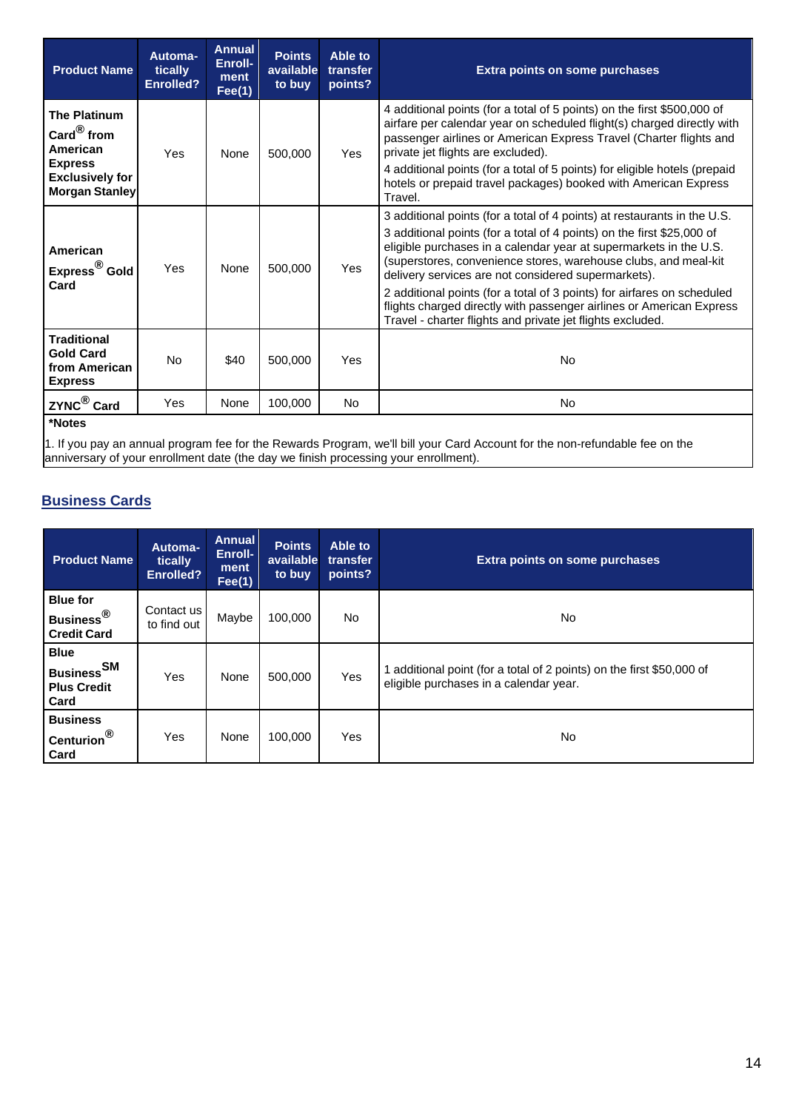| <b>Product Name</b>                                                                                                              | Automa-<br>tically<br><b>Enrolled?</b> | <b>Annual</b><br>Enroll-<br>ment<br>Fee(1) | <b>Points</b><br>available<br>to buy | Able to<br>transfer<br>points? | <b>Extra points on some purchases</b>                                                                                                                                                                                                                                                                                                                                                                                                                                                                                                                              |  |
|----------------------------------------------------------------------------------------------------------------------------------|----------------------------------------|--------------------------------------------|--------------------------------------|--------------------------------|--------------------------------------------------------------------------------------------------------------------------------------------------------------------------------------------------------------------------------------------------------------------------------------------------------------------------------------------------------------------------------------------------------------------------------------------------------------------------------------------------------------------------------------------------------------------|--|
| <b>The Platinum</b><br>Card $^{\circledR}$ from<br>American<br><b>Express</b><br><b>Exclusively for</b><br><b>Morgan Stanley</b> | Yes                                    | None                                       | 500,000                              | Yes                            | 4 additional points (for a total of 5 points) on the first \$500,000 of<br>airfare per calendar year on scheduled flight(s) charged directly with<br>passenger airlines or American Express Travel (Charter flights and<br>private jet flights are excluded).<br>4 additional points (for a total of 5 points) for eligible hotels (prepaid<br>hotels or prepaid travel packages) booked with American Express<br>Travel.                                                                                                                                          |  |
| American<br>Express <sup>®</sup> Gold<br>Card                                                                                    | Yes                                    | None                                       | 500,000                              | Yes                            | 3 additional points (for a total of 4 points) at restaurants in the U.S.<br>3 additional points (for a total of 4 points) on the first \$25,000 of<br>eligible purchases in a calendar year at supermarkets in the U.S.<br>(superstores, convenience stores, warehouse clubs, and meal-kit<br>delivery services are not considered supermarkets).<br>2 additional points (for a total of 3 points) for airfares on scheduled<br>flights charged directly with passenger airlines or American Express<br>Travel - charter flights and private jet flights excluded. |  |
| <b>Traditional</b><br><b>Gold Card</b><br>from American<br><b>Express</b>                                                        | <b>No</b>                              | \$40                                       | 500,000                              | Yes                            | <b>No</b>                                                                                                                                                                                                                                                                                                                                                                                                                                                                                                                                                          |  |
| ZYNC <sup>®</sup> Card                                                                                                           | Yes                                    | None                                       | 100,000                              | <b>No</b>                      | No.                                                                                                                                                                                                                                                                                                                                                                                                                                                                                                                                                                |  |
| *Notes                                                                                                                           |                                        |                                            |                                      |                                |                                                                                                                                                                                                                                                                                                                                                                                                                                                                                                                                                                    |  |

1. If you pay an annual program fee for the Rewards Program, we'll bill your Card Account for the non-refundable fee on the anniversary of your enrollment date (the day we finish processing your enrollment).

### **Business Cards**

| <b>Product Name</b>                                                        | Automa-<br>tically<br><b>Enrolled?</b> | <b>Annual</b><br>Enroll-<br>ment<br>Fee(1) | <b>Points</b><br>available<br>to buy | Able to<br>transfer<br>points? | Extra points on some purchases                                                                                |  |
|----------------------------------------------------------------------------|----------------------------------------|--------------------------------------------|--------------------------------------|--------------------------------|---------------------------------------------------------------------------------------------------------------|--|
| <b>Blue for</b><br>Business <sup>®</sup><br><b>Credit Card</b>             | Contact us<br>to find out              | Maybe                                      | 100,000                              | No.                            | <b>No</b>                                                                                                     |  |
| <b>Blue</b><br><b>Business</b> <sup>SM</sup><br><b>Plus Credit</b><br>Card | Yes                                    | None                                       | 500.000                              | Yes                            | additional point (for a total of 2 points) on the first \$50,000 of<br>eligible purchases in a calendar year. |  |
| <b>Business</b><br>Centurion <sup>®</sup><br>Card                          | Yes                                    | None                                       | 100,000                              | Yes                            | <b>No</b>                                                                                                     |  |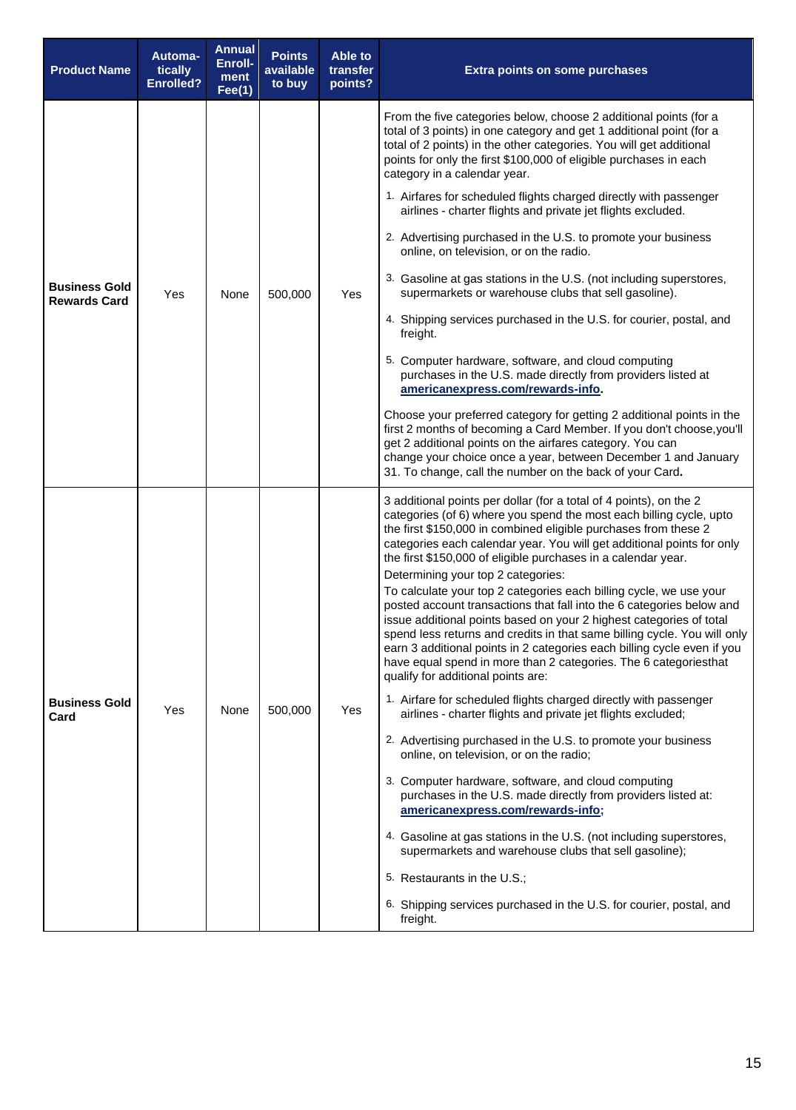| <b>Product Name</b>                         | Automa-<br>tically<br><b>Enrolled?</b> | <b>Annual</b><br>Enroll-<br>ment<br>Fee(1) | <b>Points</b><br>available<br>to buy | Able to<br>transfer<br>points? | <b>Extra points on some purchases</b>                                                                                                                                                                                                                                                                                                                                                                                                                                                                                                                                                                                                                                                                                                                                                                                                                                                                                                                                                                                                                                                                                                                                                                                                                                                                                                                                                                                                                            |
|---------------------------------------------|----------------------------------------|--------------------------------------------|--------------------------------------|--------------------------------|------------------------------------------------------------------------------------------------------------------------------------------------------------------------------------------------------------------------------------------------------------------------------------------------------------------------------------------------------------------------------------------------------------------------------------------------------------------------------------------------------------------------------------------------------------------------------------------------------------------------------------------------------------------------------------------------------------------------------------------------------------------------------------------------------------------------------------------------------------------------------------------------------------------------------------------------------------------------------------------------------------------------------------------------------------------------------------------------------------------------------------------------------------------------------------------------------------------------------------------------------------------------------------------------------------------------------------------------------------------------------------------------------------------------------------------------------------------|
| <b>Business Gold</b><br><b>Rewards Card</b> |                                        |                                            |                                      |                                | From the five categories below, choose 2 additional points (for a<br>total of 3 points) in one category and get 1 additional point (for a<br>total of 2 points) in the other categories. You will get additional<br>points for only the first \$100,000 of eligible purchases in each<br>category in a calendar year.                                                                                                                                                                                                                                                                                                                                                                                                                                                                                                                                                                                                                                                                                                                                                                                                                                                                                                                                                                                                                                                                                                                                            |
|                                             |                                        |                                            |                                      |                                | 1. Airfares for scheduled flights charged directly with passenger<br>airlines - charter flights and private jet flights excluded.                                                                                                                                                                                                                                                                                                                                                                                                                                                                                                                                                                                                                                                                                                                                                                                                                                                                                                                                                                                                                                                                                                                                                                                                                                                                                                                                |
|                                             |                                        |                                            |                                      |                                | 2. Advertising purchased in the U.S. to promote your business<br>online, on television, or on the radio.                                                                                                                                                                                                                                                                                                                                                                                                                                                                                                                                                                                                                                                                                                                                                                                                                                                                                                                                                                                                                                                                                                                                                                                                                                                                                                                                                         |
|                                             | Yes                                    | None                                       | 500,000                              | Yes                            | 3. Gasoline at gas stations in the U.S. (not including superstores,<br>supermarkets or warehouse clubs that sell gasoline).                                                                                                                                                                                                                                                                                                                                                                                                                                                                                                                                                                                                                                                                                                                                                                                                                                                                                                                                                                                                                                                                                                                                                                                                                                                                                                                                      |
|                                             |                                        |                                            |                                      |                                | 4. Shipping services purchased in the U.S. for courier, postal, and<br>freight.                                                                                                                                                                                                                                                                                                                                                                                                                                                                                                                                                                                                                                                                                                                                                                                                                                                                                                                                                                                                                                                                                                                                                                                                                                                                                                                                                                                  |
|                                             |                                        |                                            |                                      |                                | 5. Computer hardware, software, and cloud computing<br>purchases in the U.S. made directly from providers listed at<br>americanexpress.com/rewards-info.                                                                                                                                                                                                                                                                                                                                                                                                                                                                                                                                                                                                                                                                                                                                                                                                                                                                                                                                                                                                                                                                                                                                                                                                                                                                                                         |
|                                             |                                        |                                            |                                      |                                | Choose your preferred category for getting 2 additional points in the<br>first 2 months of becoming a Card Member. If you don't choose, you'll<br>get 2 additional points on the airfares category. You can<br>change your choice once a year, between December 1 and January<br>31. To change, call the number on the back of your Card.                                                                                                                                                                                                                                                                                                                                                                                                                                                                                                                                                                                                                                                                                                                                                                                                                                                                                                                                                                                                                                                                                                                        |
| <b>Business Gold</b><br>Card                | Yes                                    | None                                       | 500,000                              | Yes                            | 3 additional points per dollar (for a total of 4 points), on the 2<br>categories (of 6) where you spend the most each billing cycle, upto<br>the first \$150,000 in combined eligible purchases from these 2<br>categories each calendar year. You will get additional points for only<br>the first \$150,000 of eligible purchases in a calendar year.<br>Determining your top 2 categories:<br>To calculate your top 2 categories each billing cycle, we use your<br>posted account transactions that fall into the 6 categories below and<br>issue additional points based on your 2 highest categories of total<br>spend less returns and credits in that same billing cycle. You will only<br>earn 3 additional points in 2 categories each billing cycle even if you<br>have equal spend in more than 2 categories. The 6 categoriesthat<br>qualify for additional points are:<br>1. Airfare for scheduled flights charged directly with passenger<br>airlines - charter flights and private jet flights excluded;<br>2. Advertising purchased in the U.S. to promote your business<br>online, on television, or on the radio;<br>3. Computer hardware, software, and cloud computing<br>purchases in the U.S. made directly from providers listed at:<br>americanexpress.com/rewards-info;<br>4. Gasoline at gas stations in the U.S. (not including superstores,<br>supermarkets and warehouse clubs that sell gasoline);<br>5. Restaurants in the U.S.; |
|                                             |                                        |                                            |                                      |                                | 6. Shipping services purchased in the U.S. for courier, postal, and<br>freight.                                                                                                                                                                                                                                                                                                                                                                                                                                                                                                                                                                                                                                                                                                                                                                                                                                                                                                                                                                                                                                                                                                                                                                                                                                                                                                                                                                                  |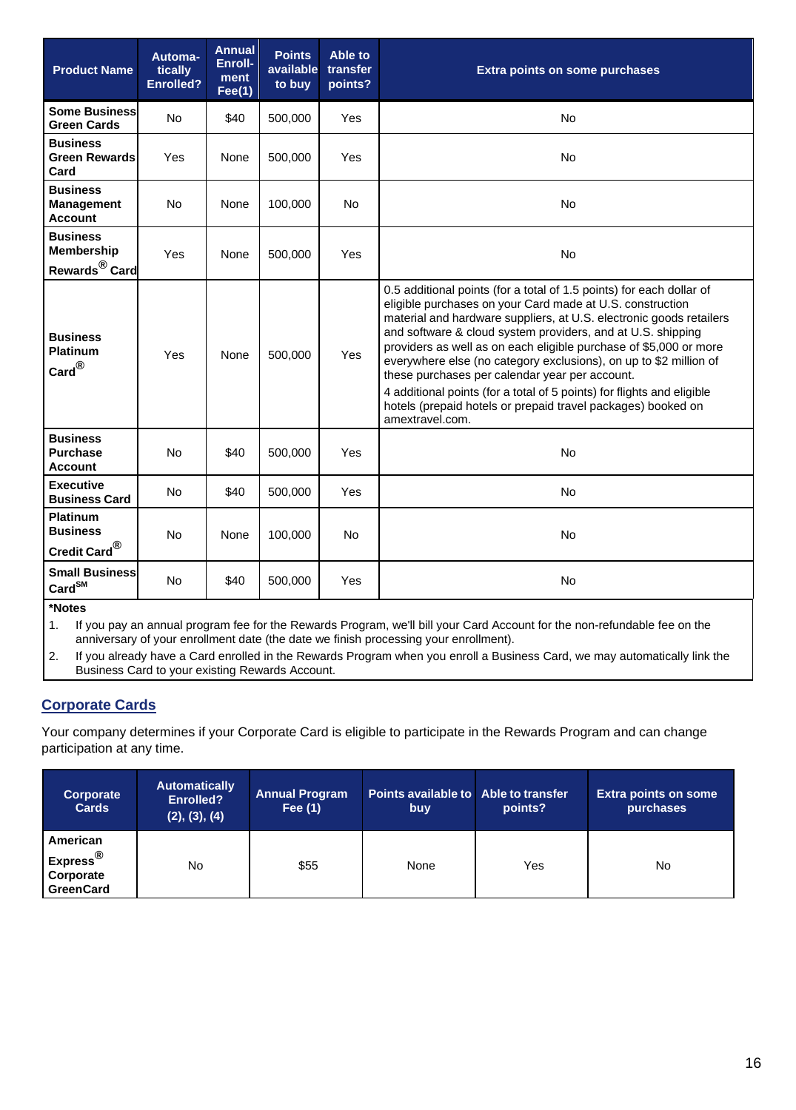| <b>Product Name</b>                                               | Automa-<br>tically<br><b>Enrolled?</b> | <b>Annual</b><br>Enroll-<br>ment<br>Fee(1) | <b>Points</b><br>available<br>to buy | Able to<br>transfer<br>points? | <b>Extra points on some purchases</b>                                                                                                                                                                                                                                                                                                                                                                                                                                                                                                                                                                                            |  |
|-------------------------------------------------------------------|----------------------------------------|--------------------------------------------|--------------------------------------|--------------------------------|----------------------------------------------------------------------------------------------------------------------------------------------------------------------------------------------------------------------------------------------------------------------------------------------------------------------------------------------------------------------------------------------------------------------------------------------------------------------------------------------------------------------------------------------------------------------------------------------------------------------------------|--|
| <b>Some Business</b><br><b>Green Cards</b>                        | <b>No</b>                              | \$40                                       | 500,000                              | Yes                            | No                                                                                                                                                                                                                                                                                                                                                                                                                                                                                                                                                                                                                               |  |
| <b>Business</b><br><b>Green Rewards</b><br>Card                   | Yes                                    | None                                       | 500,000                              | Yes                            | No.                                                                                                                                                                                                                                                                                                                                                                                                                                                                                                                                                                                                                              |  |
| <b>Business</b><br><b>Management</b><br><b>Account</b>            | <b>No</b>                              | None                                       | 100,000                              | <b>No</b>                      | <b>No</b>                                                                                                                                                                                                                                                                                                                                                                                                                                                                                                                                                                                                                        |  |
| <b>Business</b><br><b>Membership</b><br>Rewards <sup>®</sup> Card | Yes                                    | None                                       | 500,000                              | Yes                            | <b>No</b>                                                                                                                                                                                                                                                                                                                                                                                                                                                                                                                                                                                                                        |  |
| <b>Business</b><br><b>Platinum</b><br>$\text{Card}^{\circledR}$   | Yes                                    | None                                       | 500,000                              | <b>Yes</b>                     | 0.5 additional points (for a total of 1.5 points) for each dollar of<br>eligible purchases on your Card made at U.S. construction<br>material and hardware suppliers, at U.S. electronic goods retailers<br>and software & cloud system providers, and at U.S. shipping<br>providers as well as on each eligible purchase of \$5,000 or more<br>everywhere else (no category exclusions), on up to \$2 million of<br>these purchases per calendar year per account.<br>4 additional points (for a total of 5 points) for flights and eligible<br>hotels (prepaid hotels or prepaid travel packages) booked on<br>amextravel.com. |  |
| <b>Business</b><br><b>Purchase</b><br><b>Account</b>              | No                                     | \$40                                       | 500,000                              | Yes                            | <b>No</b>                                                                                                                                                                                                                                                                                                                                                                                                                                                                                                                                                                                                                        |  |
| <b>Executive</b><br><b>Business Card</b>                          | <b>No</b>                              | \$40                                       | 500,000                              | Yes                            | No                                                                                                                                                                                                                                                                                                                                                                                                                                                                                                                                                                                                                               |  |
| <b>Platinum</b><br><b>Business</b><br>Credit Card <sup>®</sup>    | <b>No</b>                              | None                                       | 100,000                              | <b>No</b>                      | <b>No</b>                                                                                                                                                                                                                                                                                                                                                                                                                                                                                                                                                                                                                        |  |
| <b>Small Business</b><br>$\text{Card}^{\text{SM}}$                | <b>No</b>                              | \$40                                       | 500,000                              | Yes                            | <b>No</b>                                                                                                                                                                                                                                                                                                                                                                                                                                                                                                                                                                                                                        |  |

#### **\*Notes**

1. If you pay an annual program fee for the Rewards Program, we'll bill your Card Account for the non-refundable fee on the anniversary of your enrollment date (the date we finish processing your enrollment).

2. If you already have a Card enrolled in the Rewards Program when you enroll a Business Card, we may automatically link the Business Card to your existing Rewards Account.

### **Corporate Cards**

Your company determines if your Corporate Card is eligible to participate in the Rewards Program and can change participation at any time.

| Corporate<br><b>Cards</b>                                         | <b>Automatically</b><br><b>Enrolled?</b><br>(2), (3), (4) | <b>Annual Program</b><br>Fee (1) | Points available to Able to transfer<br>buy | points? | <b>Extra points on some</b><br>purchases |
|-------------------------------------------------------------------|-----------------------------------------------------------|----------------------------------|---------------------------------------------|---------|------------------------------------------|
| American<br>Express <sup>®</sup><br>Corporate<br><b>GreenCard</b> | <b>No</b>                                                 | \$55                             | None                                        | Yes     | No                                       |